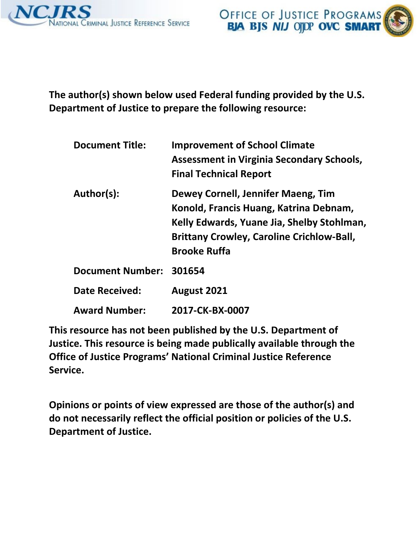



**The author(s) shown below used Federal funding provided by the U.S. Department of Justice to prepare the following resource:** 

| <b>Document Title:</b>  | <b>Improvement of School Climate</b><br><b>Assessment in Virginia Secondary Schools,</b><br><b>Final Technical Report</b>                                                                             |
|-------------------------|-------------------------------------------------------------------------------------------------------------------------------------------------------------------------------------------------------|
| Author(s):              | Dewey Cornell, Jennifer Maeng, Tim<br>Konold, Francis Huang, Katrina Debnam,<br>Kelly Edwards, Yuane Jia, Shelby Stohlman,<br><b>Brittany Crowley, Caroline Crichlow-Ball,</b><br><b>Brooke Ruffa</b> |
| Document Number: 301654 |                                                                                                                                                                                                       |
| <b>Date Received:</b>   | August 2021                                                                                                                                                                                           |
| <b>Award Number:</b>    | 2017-CK-BX-0007                                                                                                                                                                                       |

**This resource has not been published by the U.S. Department of Justice. This resource is being made publically available through the Office of Justice Programs' National Criminal Justice Reference Service.** 

**Opinions or points of view expressed are those of the author(s) and do not necessarily reflect the official position or policies of the U.S. Department of Justice.**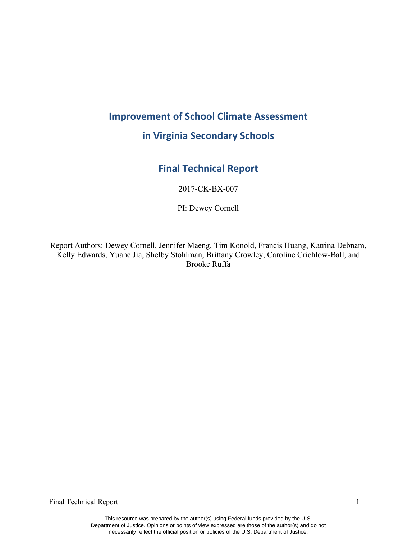# **Improvement of School Climate Assessment**

## **in Virginia Secondary Schools**

## **Final Technical Report**

2017-CK-BX-007

PI: Dewey Cornell

Report Authors: Dewey Cornell, Jennifer Maeng, Tim Konold, Francis Huang, Katrina Debnam, Kelly Edwards, Yuane Jia, Shelby Stohlman, Brittany Crowley, Caroline Crichlow-Ball, and Brooke Ruffa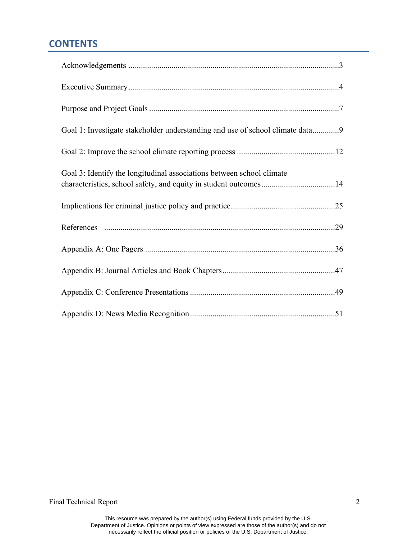## **CONTENTS**

| Goal 1: Investigate stakeholder understanding and use of school climate data9                                                             |
|-------------------------------------------------------------------------------------------------------------------------------------------|
|                                                                                                                                           |
| Goal 3: Identify the longitudinal associations between school climate<br>characteristics, school safety, and equity in student outcomes14 |
|                                                                                                                                           |
|                                                                                                                                           |
|                                                                                                                                           |
|                                                                                                                                           |
|                                                                                                                                           |
|                                                                                                                                           |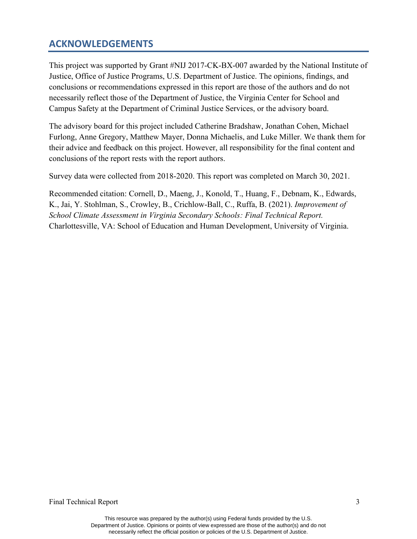### **ACKNOWLEDGEMENTS**

This project was supported by Grant #NIJ 2017-CK-BX-007 awarded by the National Institute of Justice, Office of Justice Programs, U.S. Department of Justice. The opinions, findings, and conclusions or recommendations expressed in this report are those of the authors and do not necessarily reflect those of the Department of Justice, the Virginia Center for School and Campus Safety at the Department of Criminal Justice Services, or the advisory board.

The advisory board for this project included Catherine Bradshaw, Jonathan Cohen, Michael Furlong, Anne Gregory, Matthew Mayer, Donna Michaelis, and Luke Miller. We thank them for their advice and feedback on this project. However, all responsibility for the final content and conclusions of the report rests with the report authors.

Survey data were collected from 2018-2020. This report was completed on March 30, 2021.

Recommended citation: Cornell, D., Maeng, J., Konold, T., Huang, F., Debnam, K., Edwards, K., Jai, Y. Stohlman, S., Crowley, B., Crichlow-Ball, C., Ruffa, B. (2021). *Improvement of School Climate Assessment in Virginia Secondary Schools: Final Technical Report.* Charlottesville, VA: School of Education and Human Development, University of Virginia.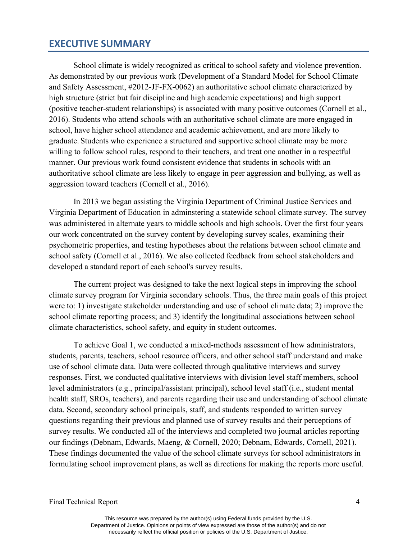#### **EXECUTIVE SUMMARY**

School climate is widely recognized as critical to school safety and violence prevention. As demonstrated by our previous work (Development of a Standard Model for School Climate and Safety Assessment, #2012-JF-FX-0062) an authoritative school climate characterized by high structure (strict but fair discipline and high academic expectations) and high support (positive teacher-student relationships) is associated with many positive outcomes (Cornell et al., 2016). Students who attend schools with an authoritative school climate are more engaged in school, have higher school attendance and academic achievement, and are more likely to graduate. Students who experience a structured and supportive school climate may be more willing to follow school rules, respond to their teachers, and treat one another in a respectful manner. Our previous work found consistent evidence that students in schools with an authoritative school climate are less likely to engage in peer aggression and bullying, as well as aggression toward teachers (Cornell et al., 2016).

In 2013 we began assisting the Virginia Department of Criminal Justice Services and Virginia Department of Education in adminstering a statewide school climate survey. The survey was administered in alternate years to middle schools and high schools. Over the first four years our work concentrated on the survey content by developing survey scales, examining their psychometric properties, and testing hypotheses about the relations between school climate and school safety (Cornell et al., 2016). We also collected feedback from school stakeholders and developed a standard report of each school's survey results.

The current project was designed to take the next logical steps in improving the school climate survey program for Virginia secondary schools. Thus, the three main goals of this project were to: 1) investigate stakeholder understanding and use of school climate data; 2) improve the school climate reporting process; and 3) identify the longitudinal associations between school climate characteristics, school safety, and equity in student outcomes.

To achieve Goal 1, we conducted a mixed-methods assessment of how administrators, students, parents, teachers, school resource officers, and other school staff understand and make use of school climate data. Data were collected through qualitative interviews and survey responses. First, we conducted qualitative interviews with division level staff members, school level administrators (e.g., principal/assistant principal), school level staff (i.e., student mental health staff, SROs, teachers), and parents regarding their use and understanding of school climate data. Second, secondary school principals, staff, and students responded to written survey questions regarding their previous and planned use of survey results and their perceptions of survey results. We conducted all of the interviews and completed two journal articles reporting our findings (Debnam, Edwards, Maeng, & Cornell, 2020; Debnam, Edwards, Cornell, 2021). These findings documented the value of the school climate surveys for school administrators in formulating school improvement plans, as well as directions for making the reports more useful.

Final Technical Report 4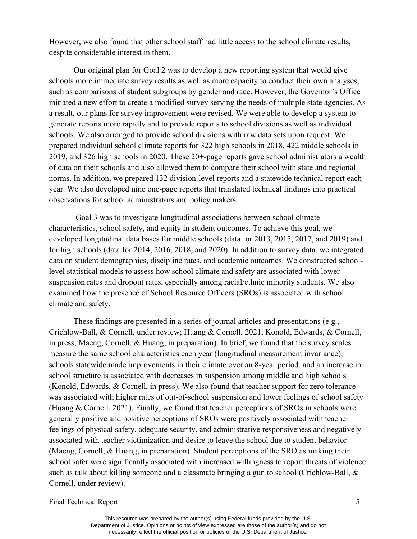However, we also found that other school staff had little access to the school climate results, despite considerable interest in them.

Our original plan for Goal 2 was to develop a new reporting system that would give schools more immediate survey results as well as more capacity to conduct their own analyses, such as comparisons of student subgroups by gender and race. However, the Governor's Office initiated a new effort to create a modified survey serving the needs of multiple state agencies. As a result, our plans for survey improvement were revised. We were able to develop a system to generate reports more rapidly and to provide reports to school divisions as well as individual schools. We also arranged to provide school divisions with raw data sets upon request. We prepared individual school climate reports for 322 high schools in 2018, 422 middle schools in 2019, and 326 high schools in 2020. These 20+-page reports gave school administrators a wealth of data on their schools and also allowed them to compare their school with state and regional norms. In addition, we prepared 132 division-level reports and a statewide technical report each year. We also developed nine one-page reports that translated technical findings into practical observations for school administrators and policy makers.

Goal 3 was to investigate longitudinal associations between school climate characteristics, school safety, and equity in student outcomes. To achieve this goal, we developed longitudinal data bases for middle schools (data for 2013, 2015, 2017, and 2019) and for high schools (data for 2014, 2016, 2018, and 2020). In addition to survey data, we integrated data on student demographics, discipline rates, and academic outcomes. We constructed schoollevel statistical models to assess how school climate and safety are associated with lower suspension rates and dropout rates, especially among racial/ethnic minority students. We also examined how the presence of School Resource Officers (SROs) is associated with school climate and safety.

These findings are presented in a series of journal articles and presentations (e.g., Crichlow-Ball, & Cornell, under review; Huang & Cornell, 2021, Konold, Edwards, & Cornell, in press; Maeng, Cornell, & Huang, in preparation). In brief, we found that the survey scales measure the same school characteristics each year (longitudinal measurement invariance), schools statewide made improvements in their climate over an 8-year period, and an increase in school structure is associated with decreases in suspension among middle and high schools (Konold, Edwards, & Cornell, in press). We also found that teacher support for zero tolerance was associated with higher rates of out-of-school suspension and lower feelings of school safety (Huang & Cornell, 2021). Finally, we found that teacher perceptions of SROs in schools were generally positive and positive perceptions of SROs were positively associated with teacher feelings of physical safety, adequate security, and administrative responsiveness and negatively associated with teacher victimization and desire to leave the school due to student behavior (Maeng, Cornell, & Huang, in preparation). Student perceptions of the SRO as making their school safer were significantly associated with increased willingness to report threats of violence such as talk about killing someone and a classmate bringing a gun to school (Crichlow-Ball, & Cornell, under review).

Final Technical Report 5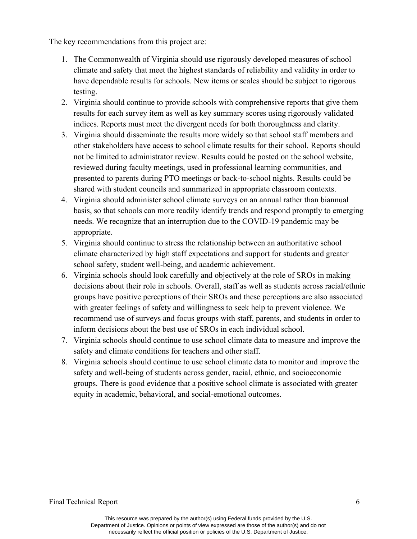The key recommendations from this project are:

- 1. The Commonwealth of Virginia should use rigorously developed measures of school climate and safety that meet the highest standards of reliability and validity in order to have dependable results for schools. New items or scales should be subject to rigorous testing.
- 2. Virginia should continue to provide schools with comprehensive reports that give them results for each survey item as well as key summary scores using rigorously validated indices. Reports must meet the divergent needs for both thoroughness and clarity.
- 3. Virginia should disseminate the results more widely so that school staff members and other stakeholders have access to school climate results for their school. Reports should not be limited to administrator review. Results could be posted on the school website, reviewed during faculty meetings, used in professional learning communities, and presented to parents during PTO meetings or back-to-school nights. Results could be shared with student councils and summarized in appropriate classroom contexts.
- 4. Virginia should administer school climate surveys on an annual rather than biannual basis, so that schools can more readily identify trends and respond promptly to emerging needs. We recognize that an interruption due to the COVID-19 pandemic may be appropriate.
- 5. Virginia should continue to stress the relationship between an authoritative school climate characterized by high staff expectations and support for students and greater school safety, student well-being, and academic achievement.
- 6. Virginia schools should look carefully and objectively at the role of SROs in making decisions about their role in schools. Overall, staff as well as students across racial/ethnic groups have positive perceptions of their SROs and these perceptions are also associated with greater feelings of safety and willingness to seek help to prevent violence. We recommend use of surveys and focus groups with staff, parents, and students in order to inform decisions about the best use of SROs in each individual school.
- 7. Virginia schools should continue to use school climate data to measure and improve the safety and climate conditions for teachers and other staff.
- 8. Virginia schools should continue to use school climate data to monitor and improve the safety and well-being of students across gender, racial, ethnic, and socioeconomic groups. There is good evidence that a positive school climate is associated with greater equity in academic, behavioral, and social-emotional outcomes.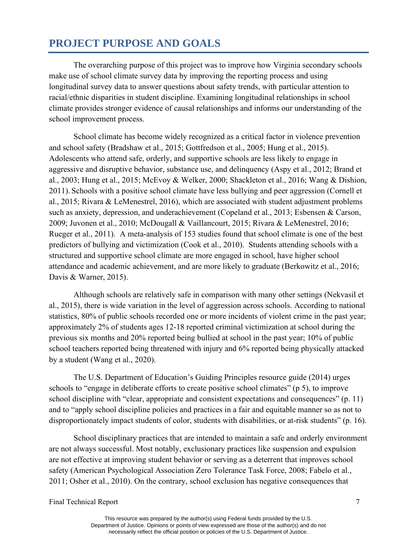## **PROJECT PURPOSE AND GOALS**

The overarching purpose of this project was to improve how Virginia secondary schools make use of school climate survey data by improving the reporting process and using longitudinal survey data to answer questions about safety trends, with particular attention to racial/ethnic disparities in student discipline. Examining longitudinal relationships in school climate provides stronger evidence of causal relationships and informs our understanding of the school improvement process.

School climate has become widely recognized as a critical factor in violence prevention and school safety (Bradshaw et al., 2015; Gottfredson et al., 2005; Hung et al., 2015). Adolescents who attend safe, orderly, and supportive schools are less likely to engage in aggressive and disruptive behavior, substance use, and delinquency (Aspy et al., 2012; Brand et al., 2003; Hung et al., 2015; McEvoy & Welker, 2000; Shackleton et al., 2016; Wang & Dishion, 2011). Schools with a positive school climate have less bullying and peer aggression (Cornell et al., 2015; Rivara & LeMenestrel, 2016), which are associated with student adjustment problems such as anxiety, depression, and underachievement (Copeland et al., 2013; Esbensen & Carson, 2009; Juvonen et al., 2010; McDougall & Vaillancourt, 2015; Rivara & LeMenestrel, 2016; Rueger et al., 2011). A meta-analysis of 153 studies found that school climate is one of the best predictors of bullying and victimization (Cook et al., 2010). Students attending schools with a structured and supportive school climate are more engaged in school, have higher school attendance and academic achievement, and are more likely to graduate (Berkowitz et al., 2016; Davis & Warner, 2015).

Although schools are relatively safe in comparison with many other settings (Nekvasil et al., 2015), there is wide variation in the level of aggression across schools. According to national statistics, 80% of public schools recorded one or more incidents of violent crime in the past year; approximately 2% of students ages 12-18 reported criminal victimization at school during the previous six months and 20% reported being bullied at school in the past year; 10% of public school teachers reported being threatened with injury and 6% reported being physically attacked by a student (Wang et al., 2020).

The U.S. Department of Education's Guiding Principles resource guide (2014) urges schools to "engage in deliberate efforts to create positive school climates" (p 5), to improve school discipline with "clear, appropriate and consistent expectations and consequences" (p. 11) and to "apply school discipline policies and practices in a fair and equitable manner so as not to disproportionately impact students of color, students with disabilities, or at-risk students" (p. 16).

School disciplinary practices that are intended to maintain a safe and orderly environment are not always successful. Most notably, exclusionary practices like suspension and expulsion are not effective at improving student behavior or serving as a deterrent that improves school safety (American Psychological Association Zero Tolerance Task Force, 2008; Fabelo et al., 2011; Osher et al., 2010). On the contrary, school exclusion has negative consequences that

Final Technical Report 7 and 7 and 7 and 7 and 7 and 7 and 7 and 7 and 7 and 7 and 7 and 7 and 7 and 7 and 7 and 7 and 7 and 7 and 7 and 7 and 7 and 7 and 7 and 7 and 7 and 7 and 7 and 7 and 7 and 7 and 7 and 7 and 7 and 7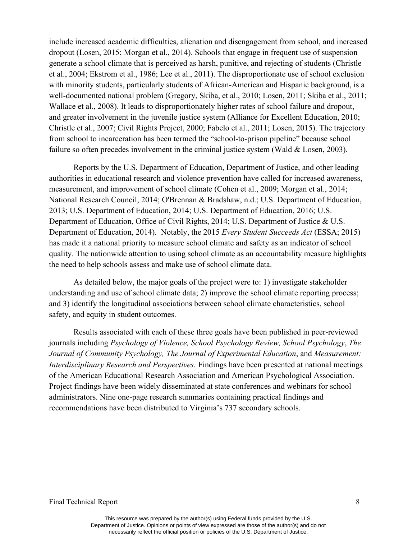include increased academic difficulties, alienation and disengagement from school, and increased dropout (Losen, 2015; Morgan et al., 2014). Schools that engage in frequent use of suspension generate a school climate that is perceived as harsh, punitive, and rejecting of students (Christle et al., 2004; Ekstrom et al., 1986; Lee et al., 2011). The disproportionate use of school exclusion with minority students, particularly students of African-American and Hispanic background, is a well-documented national problem (Gregory, Skiba, et al., 2010; Losen, 2011; Skiba et al., 2011; Wallace et al., 2008). It leads to disproportionately higher rates of school failure and dropout, and greater involvement in the juvenile justice system (Alliance for Excellent Education, 2010; Christle et al., 2007; Civil Rights Project, 2000; Fabelo et al., 2011; Losen, 2015). The trajectory from school to incarceration has been termed the "school-to-prison pipeline" because school failure so often precedes involvement in the criminal justice system (Wald & Losen, 2003).

Reports by the U.S. Department of Education, Department of Justice, and other leading authorities in educational research and violence prevention have called for increased awareness, measurement, and improvement of school climate (Cohen et al., 2009; Morgan et al., 2014; National Research Council, 2014; O'Brennan & Bradshaw, n.d.; U.S. Department of Education, 2013; U.S. Department of Education, 2014; U.S. Department of Education, 2016; U.S. Department of Education, Office of Civil Rights, 2014; U.S. Department of Justice & U.S. Department of Education, 2014). Notably, the 2015 *Every Student Succeeds Act* (ESSA; 2015) has made it a national priority to measure school climate and safety as an indicator of school quality. The nationwide attention to using school climate as an accountability measure highlights the need to help schools assess and make use of school climate data.

As detailed below, the major goals of the project were to: 1) investigate stakeholder understanding and use of school climate data; 2) improve the school climate reporting process; and 3) identify the longitudinal associations between school climate characteristics, school safety, and equity in student outcomes.

Results associated with each of these three goals have been published in peer-reviewed journals including *Psychology of Violence, School Psychology Review, School Psychology*, *The Journal of Community Psychology, The Journal of Experimental Education*, and *Measurement: Interdisciplinary Research and Perspectives.* Findings have been presented at national meetings of the American Educational Research Association and American Psychological Association. Project findings have been widely disseminated at state conferences and webinars for school administrators. Nine one-page research summaries containing practical findings and recommendations have been distributed to Virginia's 737 secondary schools.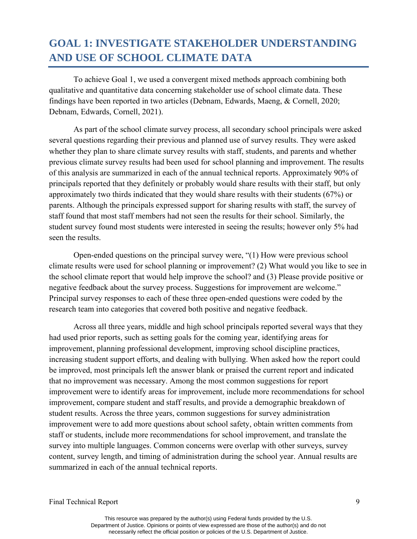## **GOAL 1: INVESTIGATE STAKEHOLDER UNDERSTANDING AND USE OF SCHOOL CLIMATE DATA**

To achieve Goal 1, we used a convergent mixed methods approach combining both qualitative and quantitative data concerning stakeholder use of school climate data. These findings have been reported in two articles (Debnam, Edwards, Maeng, & Cornell, 2020; Debnam, Edwards, Cornell, 2021).

As part of the school climate survey process, all secondary school principals were asked several questions regarding their previous and planned use of survey results. They were asked whether they plan to share climate survey results with staff, students, and parents and whether previous climate survey results had been used for school planning and improvement. The results of this analysis are summarized in each of the annual technical reports. Approximately 90% of principals reported that they definitely or probably would share results with their staff, but only approximately two thirds indicated that they would share results with their students (67%) or parents. Although the principals expressed support for sharing results with staff, the survey of staff found that most staff members had not seen the results for their school. Similarly, the student survey found most students were interested in seeing the results; however only 5% had seen the results.

Open-ended questions on the principal survey were, "(1) How were previous school climate results were used for school planning or improvement? (2) What would you like to see in the school climate report that would help improve the school? and (3) Please provide positive or negative feedback about the survey process. Suggestions for improvement are welcome." Principal survey responses to each of these three open-ended questions were coded by the research team into categories that covered both positive and negative feedback.

Across all three years, middle and high school principals reported several ways that they had used prior reports, such as setting goals for the coming year, identifying areas for improvement, planning professional development, improving school discipline practices, increasing student support efforts, and dealing with bullying. When asked how the report could be improved, most principals left the answer blank or praised the current report and indicated that no improvement was necessary. Among the most common suggestions for report improvement were to identify areas for improvement, include more recommendations for school improvement, compare student and staff results, and provide a demographic breakdown of student results. Across the three years, common suggestions for survey administration improvement were to add more questions about school safety, obtain written comments from staff or students, include more recommendations for school improvement, and translate the survey into multiple languages. Common concerns were overlap with other surveys, survey content, survey length, and timing of administration during the school year. Annual results are summarized in each of the annual technical reports.

Final Technical Report 9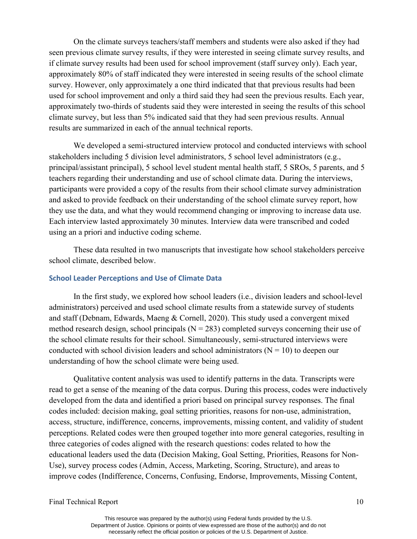On the climate surveys teachers/staff members and students were also asked if they had seen previous climate survey results, if they were interested in seeing climate survey results, and if climate survey results had been used for school improvement (staff survey only). Each year, approximately 80% of staff indicated they were interested in seeing results of the school climate survey. However, only approximately a one third indicated that that previous results had been used for school improvement and only a third said they had seen the previous results. Each year, approximately two-thirds of students said they were interested in seeing the results of this school climate survey, but less than 5% indicated said that they had seen previous results. Annual results are summarized in each of the annual technical reports.

We developed a semi-structured interview protocol and conducted interviews with school stakeholders including 5 division level administrators, 5 school level administrators (e.g., principal/assistant principal), 5 school level student mental health staff, 5 SROs, 5 parents, and 5 teachers regarding their understanding and use of school climate data. During the interviews, participants were provided a copy of the results from their school climate survey administration and asked to provide feedback on their understanding of the school climate survey report, how they use the data, and what they would recommend changing or improving to increase data use. Each interview lasted approximately 30 minutes. Interview data were transcribed and coded using an a priori and inductive coding scheme.

These data resulted in two manuscripts that investigate how school stakeholders perceive school climate, described below.

#### **School Leader Perceptions and Use of Climate Data**

In the first study, we explored how school leaders (i.e., division leaders and school-level administrators) perceived and used school climate results from a statewide survey of students and staff (Debnam, Edwards, Maeng & Cornell, 2020). This study used a convergent mixed method research design, school principals ( $N = 283$ ) completed surveys concerning their use of the school climate results for their school. Simultaneously, semi-structured interviews were conducted with school division leaders and school administrators ( $N = 10$ ) to deepen our understanding of how the school climate were being used.

Qualitative content analysis was used to identify patterns in the data. Transcripts were read to get a sense of the meaning of the data corpus. During this process, codes were inductively developed from the data and identified a priori based on principal survey responses. The final codes included: decision making, goal setting priorities, reasons for non-use, administration, access, structure, indifference, concerns, improvements, missing content, and validity of student perceptions. Related codes were then grouped together into more general categories, resulting in three categories of codes aligned with the research questions: codes related to how the educational leaders used the data (Decision Making, Goal Setting, Priorities, Reasons for Non-Use), survey process codes (Admin, Access, Marketing, Scoring, Structure), and areas to improve codes (Indifference, Concerns, Confusing, Endorse, Improvements, Missing Content,

Final Technical Report 10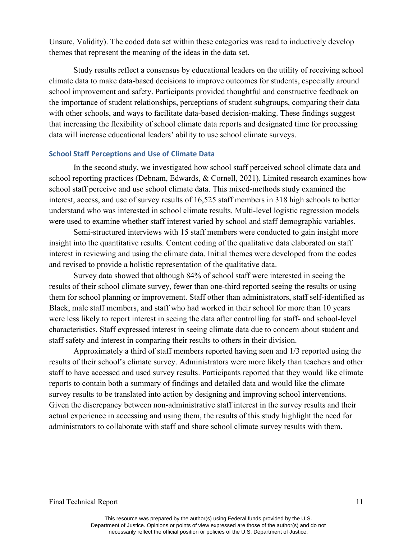Unsure, Validity). The coded data set within these categories was read to inductively develop themes that represent the meaning of the ideas in the data set.

Study results reflect a consensus by educational leaders on the utility of receiving school climate data to make data-based decisions to improve outcomes for students, especially around school improvement and safety. Participants provided thoughtful and constructive feedback on the importance of student relationships, perceptions of student subgroups, comparing their data with other schools, and ways to facilitate data-based decision-making. These findings suggest that increasing the flexibility of school climate data reports and designated time for processing data will increase educational leaders' ability to use school climate surveys.

#### **School Staff Perceptions and Use of Climate Data**

In the second study, we investigated how school staff perceived school climate data and school reporting practices (Debnam, Edwards, & Cornell, 2021). Limited research examines how school staff perceive and use school climate data. This mixed-methods study examined the interest, access, and use of survey results of 16,525 staff members in 318 high schools to better understand who was interested in school climate results. Multi-level logistic regression models were used to examine whether staff interest varied by school and staff demographic variables.

Semi-structured interviews with 15 staff members were conducted to gain insight more insight into the quantitative results. Content coding of the qualitative data elaborated on staff interest in reviewing and using the climate data. Initial themes were developed from the codes and revised to provide a holistic representation of the qualitative data.

Survey data showed that although 84% of school staff were interested in seeing the results of their school climate survey, fewer than one-third reported seeing the results or using them for school planning or improvement. Staff other than administrators, staff self-identified as Black, male staff members, and staff who had worked in their school for more than 10 years were less likely to report interest in seeing the data after controlling for staff- and school-level characteristics. Staff expressed interest in seeing climate data due to concern about student and staff safety and interest in comparing their results to others in their division.

Approximately a third of staff members reported having seen and 1/3 reported using the results of their school's climate survey. Administrators were more likely than teachers and other staff to have accessed and used survey results. Participants reported that they would like climate reports to contain both a summary of findings and detailed data and would like the climate survey results to be translated into action by designing and improving school interventions. Given the discrepancy between non-administrative staff interest in the survey results and their actual experience in accessing and using them, the results of this study highlight the need for administrators to collaborate with staff and share school climate survey results with them.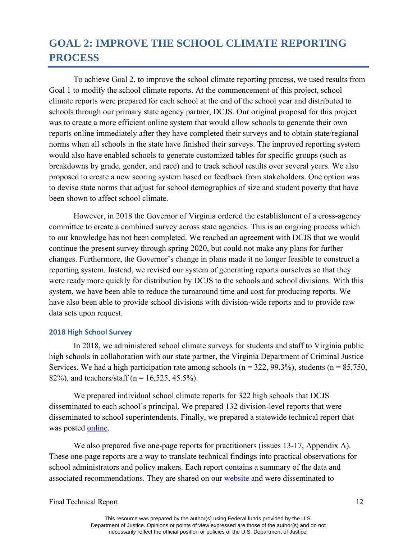## **GOAL 2: IMPROVE THE SCHOOL CLIMATE REPORTING PROCESS**

To achieve Goal 2, to improve the school climate reporting process, we used results from Goal 1 to modify the school climate reports. At the commencement of this project, school climate reports were prepared for each school at the end of the school year and distributed to schools through our primary state agency partner, DCJS. Our original proposal for this project was to create a more efficient online system that would allow schools to generate their own reports online immediately after they have completed their surveys and to obtain state/regional norms when all schools in the state have finished their surveys. The improved reporting system would also have enabled schools to generate customized tables for specific groups (such as breakdowns by grade, gender, and race) and to track school results over several years. We also proposed to create a new scoring system based on feedback from stakeholders. One option was to devise state norms that adjust for school demographics of size and student poverty that have been shown to affect school climate.

However, in 2018 the Governor of Virginia ordered the establishment of a cross-agency committee to create a combined survey across state agencies. This is an ongoing process which to our knowledge has not been completed. We reached an agreement with DCJS that we would continue the present survey through spring 2020, but could not make any plans for further changes. Furthermore, the Governor's change in plans made it no longer feasible to construct a reporting system. Instead, we revised our system of generating reports ourselves so that they were ready more quickly for distribution by DCJS to the schools and school divisions. With this system, we have been able to reduce the turnaround time and cost for producing reports. We have also been able to provide school divisions with division-wide reports and to provide raw data sets upon request.

#### **2018 High School Survey**

In 2018, we administered school climate surveys for students and staff to Virginia public high schools in collaboration with our state partner, the Virginia Department of Criminal Justice Services. We had a high participation rate among schools ( $n = 322, 99.3\%$ ), students ( $n = 85,750$ , 82%), and teachers/staff ( $n = 16,525, 45.5%$ ).

We prepared individual school climate reports for 322 high schools that DCJS disseminated to each school's principal. We prepared 132 division-level reports that were disseminated to school superintendents. Finally, we prepared a statewide technical report that was posted [online.](https://curry.virginia.edu/faculty-research/centers-labs-projects/research-labs/youth-violence-project/virginia-secondary)

We also prepared five one-page reports for practitioners (issues 13-17, Appendix A). These one-page reports are a way to translate technical findings into practical observations for school administrators and policy makers. Each report contains a summary of the data and associated recommendations. They are shared on our [website](https://curry.virginia.edu/faculty-research/centers-labs-projects/research-labs/youth-violence-project/youth-violence-project-0) and were disseminated to

Final Technical Report 12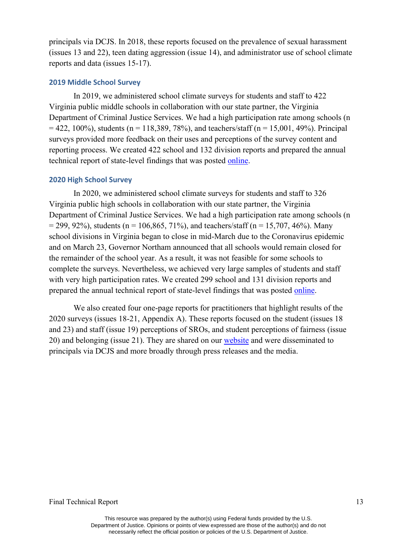principals via DCJS. In 2018, these reports focused on the prevalence of sexual harassment (issues 13 and 22), teen dating aggression (issue 14), and administrator use of school climate reports and data (issues 15-17).

#### **2019 Middle School Survey**

In 2019, we administered school climate surveys for students and staff to 422 Virginia public middle schools in collaboration with our state partner, the Virginia Department of Criminal Justice Services. We had a high participation rate among schools (n  $= 422, 100\%$ , students (n = 118,389, 78%), and teachers/staff (n = 15,001, 49%). Principal surveys provided more feedback on their uses and perceptions of the survey content and reporting process. We created 422 school and 132 division reports and prepared the annual technical report of state-level findings that was posted [online.](https://curry.virginia.edu/faculty-research/centers-labs-projects/research-labs/youth-violence-project/virginia-secondary)

#### **2020 High School Survey**

In 2020, we administered school climate surveys for students and staff to 326 Virginia public high schools in collaboration with our state partner, the Virginia Department of Criminal Justice Services. We had a high participation rate among schools (n  $= 299, 92\%$ , students (n = 106,865, 71%), and teachers/staff (n = 15,707, 46%). Many school divisions in Virginia began to close in mid-March due to the Coronavirus epidemic and on March 23, Governor Northam announced that all schools would remain closed for the remainder of the school year. As a result, it was not feasible for some schools to complete the surveys. Nevertheless, we achieved very large samples of students and staff with very high participation rates. We created 299 school and 131 division reports and prepared the annual technical report of state-level findings that was posted [online.](https://curry.virginia.edu/faculty-research/centers-labs-projects/research-labs/youth-violence-project/virginia-secondary)

We also created four one-page reports for practitioners that highlight results of the 2020 surveys (issues 18-21, Appendix A). These reports focused on the student (issues 18 and 23) and staff (issue 19) perceptions of SROs, and student perceptions of fairness (issue 20) and belonging (issue 21). They are shared on our [website](https://curry.virginia.edu/faculty-research/centers-labs-projects/research-labs/youth-violence-project/youth-violence-project-0) and were disseminated to principals via DCJS and more broadly through press releases and the media.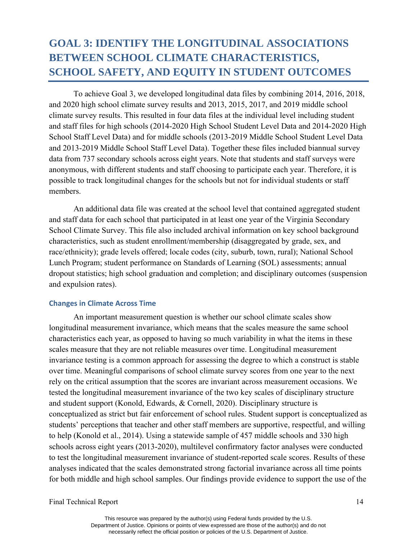## **GOAL 3: IDENTIFY THE LONGITUDINAL ASSOCIATIONS BETWEEN SCHOOL CLIMATE CHARACTERISTICS, SCHOOL SAFETY, AND EQUITY IN STUDENT OUTCOMES**

To achieve Goal 3, we developed longitudinal data files by combining 2014, 2016, 2018, and 2020 high school climate survey results and 2013, 2015, 2017, and 2019 middle school climate survey results. This resulted in four data files at the individual level including student and staff files for high schools (2014-2020 High School Student Level Data and 2014-2020 High School Staff Level Data) and for middle schools (2013-2019 Middle School Student Level Data and 2013-2019 Middle School Staff Level Data). Together these files included biannual survey data from 737 secondary schools across eight years. Note that students and staff surveys were anonymous, with different students and staff choosing to participate each year. Therefore, it is possible to track longitudinal changes for the schools but not for individual students or staff members.

An additional data file was created at the school level that contained aggregated student and staff data for each school that participated in at least one year of the Virginia Secondary School Climate Survey. This file also included archival information on key school background characteristics, such as student enrollment/membership (disaggregated by grade, sex, and race/ethnicity); grade levels offered; locale codes (city, suburb, town, rural); National School Lunch Program; student performance on Standards of Learning (SOL) assessments; annual dropout statistics; high school graduation and completion; and disciplinary outcomes (suspension and expulsion rates).

#### **Changes in Climate Across Time**

An important measurement question is whether our school climate scales show longitudinal measurement invariance, which means that the scales measure the same school characteristics each year, as opposed to having so much variability in what the items in these scales measure that they are not reliable measures over time. Longitudinal measurement invariance testing is a common approach for assessing the degree to which a construct is stable over time. Meaningful comparisons of school climate survey scores from one year to the next rely on the critical assumption that the scores are invariant across measurement occasions. We tested the longitudinal measurement invariance of the two key scales of disciplinary structure and student support (Konold, Edwards, & Cornell, 2020). Disciplinary structure is conceptualized as strict but fair enforcement of school rules. Student support is conceptualized as students' perceptions that teacher and other staff members are supportive, respectful, and willing to help (Konold et al., 2014). Using a statewide sample of 457 middle schools and 330 high schools across eight years (2013-2020), multilevel confirmatory factor analyses were conducted to test the longitudinal measurement invariance of student-reported scale scores. Results of these analyses indicated that the scales demonstrated strong factorial invariance across all time points for both middle and high school samples. Our findings provide evidence to support the use of the

#### Final Technical Report 14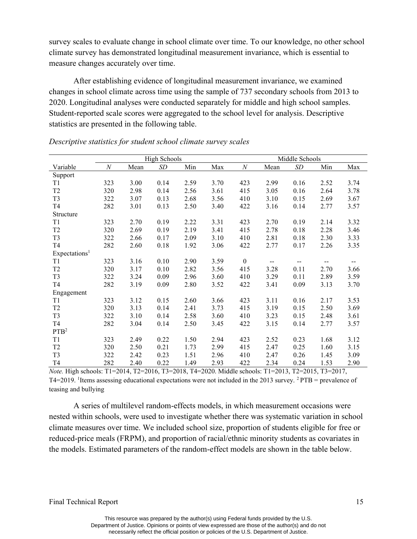survey scales to evaluate change in school climate over time. To our knowledge, no other school climate survey has demonstrated longitudinal measurement invariance, which is essential to measure changes accurately over time.

After establishing evidence of longitudinal measurement invariance, we examined changes in school climate across time using the sample of 737 secondary schools from 2013 to 2020. Longitudinal analyses were conducted separately for middle and high school samples. Student-reported scale scores were aggregated to the school level for analysis. Descriptive statistics are presented in the following table.

|                           | <b>High Schools</b> |      |      |      | Middle Schools |                  |       |      |      |      |
|---------------------------|---------------------|------|------|------|----------------|------------------|-------|------|------|------|
| Variable                  | $\boldsymbol{N}$    | Mean | SD   | Min  | Max            | $\boldsymbol{N}$ | Mean  | SD   | Min  | Max  |
| Support                   |                     |      |      |      |                |                  |       |      |      |      |
| T <sub>1</sub>            | 323                 | 3.00 | 0.14 | 2.59 | 3.70           | 423              | 2.99  | 0.16 | 2.52 | 3.74 |
| T <sub>2</sub>            | 320                 | 2.98 | 0.14 | 2.56 | 3.61           | 415              | 3.05  | 0.16 | 2.64 | 3.78 |
| T <sub>3</sub>            | 322                 | 3.07 | 0.13 | 2.68 | 3.56           | 410              | 3.10  | 0.15 | 2.69 | 3.67 |
| T <sub>4</sub>            | 282                 | 3.01 | 0.13 | 2.50 | 3.40           | 422              | 3.16  | 0.14 | 2.77 | 3.57 |
| Structure                 |                     |      |      |      |                |                  |       |      |      |      |
| T1                        | 323                 | 2.70 | 0.19 | 2.22 | 3.31           | 423              | 2.70  | 0.19 | 2.14 | 3.32 |
| T <sub>2</sub>            | 320                 | 2.69 | 0.19 | 2.19 | 3.41           | 415              | 2.78  | 0.18 | 2.28 | 3.46 |
| T <sub>3</sub>            | 322                 | 2.66 | 0.17 | 2.09 | 3.10           | 410              | 2.81  | 0.18 | 2.30 | 3.33 |
| T <sub>4</sub>            | 282                 | 2.60 | 0.18 | 1.92 | 3.06           | 422              | 2.77  | 0.17 | 2.26 | 3.35 |
| Expectations <sup>1</sup> |                     |      |      |      |                |                  |       |      |      |      |
| T1                        | 323                 | 3.16 | 0.10 | 2.90 | 3.59           | $\boldsymbol{0}$ | $- -$ | --   | --   | --   |
| T <sub>2</sub>            | 320                 | 3.17 | 0.10 | 2.82 | 3.56           | 415              | 3.28  | 0.11 | 2.70 | 3.66 |
| T <sub>3</sub>            | 322                 | 3.24 | 0.09 | 2.96 | 3.60           | 410              | 3.29  | 0.11 | 2.89 | 3.59 |
| T <sub>4</sub>            | 282                 | 3.19 | 0.09 | 2.80 | 3.52           | 422              | 3.41  | 0.09 | 3.13 | 3.70 |
| Engagement                |                     |      |      |      |                |                  |       |      |      |      |
| T1                        | 323                 | 3.12 | 0.15 | 2.60 | 3.66           | 423              | 3.11  | 0.16 | 2.17 | 3.53 |
| T <sub>2</sub>            | 320                 | 3.13 | 0.14 | 2.41 | 3.73           | 415              | 3.19  | 0.15 | 2.50 | 3.69 |
| T <sub>3</sub>            | 322                 | 3.10 | 0.14 | 2.58 | 3.60           | 410              | 3.23  | 0.15 | 2.48 | 3.61 |
| T <sub>4</sub>            | 282                 | 3.04 | 0.14 | 2.50 | 3.45           | 422              | 3.15  | 0.14 | 2.77 | 3.57 |
| PTB <sup>2</sup>          |                     |      |      |      |                |                  |       |      |      |      |
| T1                        | 323                 | 2.49 | 0.22 | 1.50 | 2.94           | 423              | 2.52  | 0.23 | 1.68 | 3.12 |
| T <sub>2</sub>            | 320                 | 2.50 | 0.21 | 1.73 | 2.99           | 415              | 2.47  | 0.25 | 1.60 | 3.15 |
| T <sub>3</sub>            | 322                 | 2.42 | 0.23 | 1.51 | 2.96           | 410              | 2.47  | 0.26 | 1.45 | 3.09 |
| T <sub>4</sub>            | 282                 | 2.40 | 0.22 | 1.49 | 2.93           | 422              | 2.34  | 0.24 | 1.53 | 2.90 |

#### *Descriptive statistics for student school climate survey scales*

*Note.* High schools: T1=2014, T2=2016, T3=2018, T4=2020. Middle schools: T1=2013, T2=2015, T3=2017, T4=2019. <sup>1</sup>Items assessing educational expectations were not included in the 2013 survey. <sup>2</sup>PTB = prevalence of teasing and bullying

A series of multilevel random-effects models, in which measurement occasions were nested within schools, were used to investigate whether there was systematic variation in school climate measures over time. We included school size, proportion of students eligible for free or reduced-price meals (FRPM), and proportion of racial/ethnic minority students as covariates in the models. Estimated parameters of the random-effect models are shown in the table below.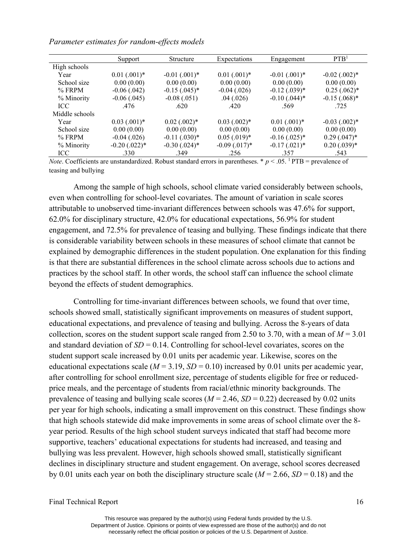#### *Parameter estimates for random-effects models*

|                | Support                      | Structure                     | Expectations                 | Engagement                    | PTB <sup>1</sup>  |
|----------------|------------------------------|-------------------------------|------------------------------|-------------------------------|-------------------|
| High schools   |                              |                               |                              |                               |                   |
| Year           | $0.01$ $(.001)$ <sup>*</sup> | $-0.01$ $(.001)$ <sup>*</sup> | $0.01$ $(.001)$ <sup>*</sup> | $-0.01$ $(.001)$ <sup>*</sup> | $-0.02$ $(.002)*$ |
| School size    | 0.00(0.00)                   | 0.00(0.00)                    | 0.00(0.00)                   | 0.00(0.00)                    | 0.00(0.00)        |
| $%$ FRPM       | $-0.06$ $(.042)$             | $-0.15$ $(.045)*$             | $-0.04$ $(.026)$             | $-0.12$ (.039) <sup>*</sup>   | $0.25(.062)*$     |
| % Minority     | $-0.06$ $(.045)$             | $-0.08(.051)$                 | .04(.026)                    | $-0.10$ (.044) <sup>*</sup>   | $-0.15(.068)$ *   |
| <b>ICC</b>     | .476                         | .620                          | .420                         | .569                          | .725              |
| Middle schools |                              |                               |                              |                               |                   |
| Year           | $0.03$ $(.001)*$             | $0.02$ $(.002)*$              | $0.03$ $(.002)*$             | $0.01$ $(.001)$ <sup>*</sup>  | $-0.03$ $(.002)*$ |
| School size    | 0.00(0.00)                   | 0.00(0.00)                    | 0.00(0.00)                   | 0.00(0.00)                    | 0.00(0.00)        |
| $%$ FRPM       | $-0.04$ (.026)               | $-0.11$ $(.030)*$             | $0.05(.019)*$                | $-0.16$ $(.025)*$             | $0.29(.047)^*$    |
| % Minority     | $-0.20$ $(.022)*$            | $-0.30$ $(.024)*$             | $-0.09$ $(.017)*$            | $-0.17$ $(.021)$ <sup>*</sup> | $0.20$ $(.039)*$  |
| ICC.           | .330                         | .349                          | .256                         | .357                          | .543              |

*Note*. Coefficients are unstandardized. Robust standard errors in parentheses. \*  $p < .05$ . <sup>1</sup> PTB = prevalence of teasing and bullying

Among the sample of high schools, school climate varied considerably between schools, even when controlling for school-level covariates. The amount of variation in scale scores attributable to unobserved time-invariant differences between schools was 47.6% for support, 62.0% for disciplinary structure, 42.0% for educational expectations, 56.9% for student engagement, and 72.5% for prevalence of teasing and bullying. These findings indicate that there is considerable variability between schools in these measures of school climate that cannot be explained by demographic differences in the student population. One explanation for this finding is that there are substantial differences in the school climate across schools due to actions and practices by the school staff. In other words, the school staff can influence the school climate beyond the effects of student demographics.

Controlling for time-invariant differences between schools, we found that over time, schools showed small, statistically significant improvements on measures of student support, educational expectations, and prevalence of teasing and bullying. Across the 8-years of data collection, scores on the student support scale ranged from 2.50 to 3.70, with a mean of  $M = 3.01$ and standard deviation of  $SD = 0.14$ . Controlling for school-level covariates, scores on the student support scale increased by 0.01 units per academic year. Likewise, scores on the educational expectations scale ( $M = 3.19$ ,  $SD = 0.10$ ) increased by 0.01 units per academic year, after controlling for school enrollment size, percentage of students eligible for free or reducedprice meals, and the percentage of students from racial/ethnic minority backgrounds. The prevalence of teasing and bullying scale scores ( $M = 2.46$ ,  $SD = 0.22$ ) decreased by 0.02 units per year for high schools, indicating a small improvement on this construct. These findings show that high schools statewide did make improvements in some areas of school climate over the 8 year period. Results of the high school student surveys indicated that staff had become more supportive, teachers' educational expectations for students had increased, and teasing and bullying was less prevalent. However, high schools showed small, statistically significant declines in disciplinary structure and student engagement. On average, school scores decreased by 0.01 units each year on both the disciplinary structure scale (*M* = 2.66, *SD* = 0.18) and the

Final Technical Report 16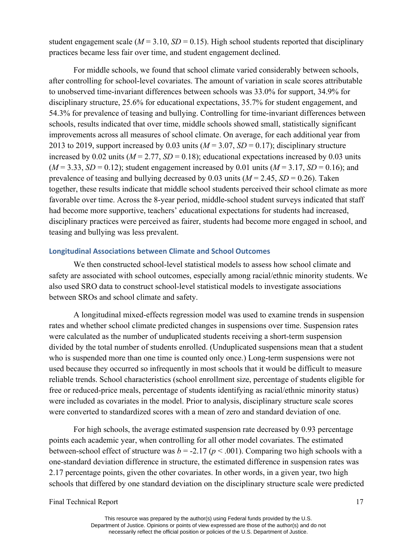student engagement scale ( $M = 3.10$ ,  $SD = 0.15$ ). High school students reported that disciplinary practices became less fair over time, and student engagement declined.

For middle schools, we found that school climate varied considerably between schools, after controlling for school-level covariates. The amount of variation in scale scores attributable to unobserved time-invariant differences between schools was 33.0% for support, 34.9% for disciplinary structure, 25.6% for educational expectations, 35.7% for student engagement, and 54.3% for prevalence of teasing and bullying. Controlling for time-invariant differences between schools, results indicated that over time, middle schools showed small, statistically significant improvements across all measures of school climate. On average, for each additional year from 2013 to 2019, support increased by 0.03 units  $(M = 3.07, SD = 0.17)$ ; disciplinary structure increased by 0.02 units  $(M = 2.77, SD = 0.18)$ ; educational expectations increased by 0.03 units  $(M = 3.33, SD = 0.12)$ ; student engagement increased by 0.01 units  $(M = 3.17, SD = 0.16)$ ; and prevalence of teasing and bullying decreased by 0.03 units ( $M = 2.45$ ,  $SD = 0.26$ ). Taken together, these results indicate that middle school students perceived their school climate as more favorable over time. Across the 8-year period, middle-school student surveys indicated that staff had become more supportive, teachers' educational expectations for students had increased, disciplinary practices were perceived as fairer, students had become more engaged in school, and teasing and bullying was less prevalent.

#### **Longitudinal Associations between Climate and School Outcomes**

We then constructed school-level statistical models to assess how school climate and safety are associated with school outcomes, especially among racial/ethnic minority students. We also used SRO data to construct school-level statistical models to investigate associations between SROs and school climate and safety.

A longitudinal mixed-effects regression model was used to examine trends in suspension rates and whether school climate predicted changes in suspensions over time. Suspension rates were calculated as the number of unduplicated students receiving a short-term suspension divided by the total number of students enrolled. (Unduplicated suspensions mean that a student who is suspended more than one time is counted only once.) Long-term suspensions were not used because they occurred so infrequently in most schools that it would be difficult to measure reliable trends. School characteristics (school enrollment size, percentage of students eligible for free or reduced-price meals, percentage of students identifying as racial/ethnic minority status) were included as covariates in the model. Prior to analysis, disciplinary structure scale scores were converted to standardized scores with a mean of zero and standard deviation of one.

For high schools, the average estimated suspension rate decreased by 0.93 percentage points each academic year, when controlling for all other model covariates. The estimated between-school effect of structure was  $b = -2.17$  ( $p < .001$ ). Comparing two high schools with a one-standard deviation difference in structure, the estimated difference in suspension rates was 2.17 percentage points, given the other covariates. In other words, in a given year, two high schools that differed by one standard deviation on the disciplinary structure scale were predicted

Final Technical Report 17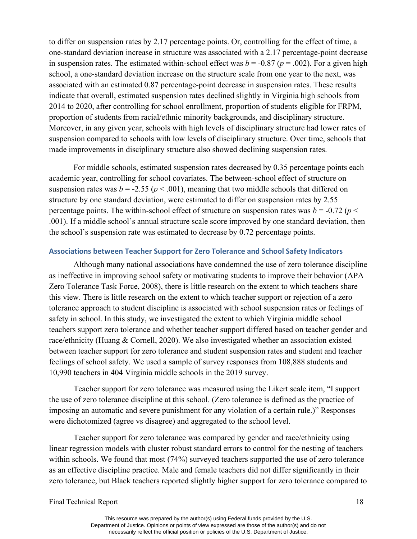to differ on suspension rates by 2.17 percentage points. Or, controlling for the effect of time, a one-standard deviation increase in structure was associated with a 2.17 percentage-point decrease in suspension rates. The estimated within-school effect was  $b = -0.87$  ( $p = .002$ ). For a given high school, a one-standard deviation increase on the structure scale from one year to the next, was associated with an estimated 0.87 percentage-point decrease in suspension rates. These results indicate that overall, estimated suspension rates declined slightly in Virginia high schools from 2014 to 2020, after controlling for school enrollment, proportion of students eligible for FRPM, proportion of students from racial/ethnic minority backgrounds, and disciplinary structure. Moreover, in any given year, schools with high levels of disciplinary structure had lower rates of suspension compared to schools with low levels of disciplinary structure. Over time, schools that made improvements in disciplinary structure also showed declining suspension rates.

For middle schools, estimated suspension rates decreased by 0.35 percentage points each academic year, controlling for school covariates. The between-school effect of structure on suspension rates was  $b = -2.55$  ( $p < .001$ ), meaning that two middle schools that differed on structure by one standard deviation, were estimated to differ on suspension rates by 2.55 percentage points. The within-school effect of structure on suspension rates was  $b = -0.72$  ( $p <$ .001). If a middle school's annual structure scale score improved by one standard deviation, then the school's suspension rate was estimated to decrease by 0.72 percentage points.

#### **Associations between Teacher Support for Zero Tolerance and School Safety Indicators**

Although many national associations have condemned the use of zero tolerance discipline as ineffective in improving school safety or motivating students to improve their behavior (APA Zero Tolerance Task Force, 2008), there is little research on the extent to which teachers share this view. There is little research on the extent to which teacher support or rejection of a zero tolerance approach to student discipline is associated with school suspension rates or feelings of safety in school. In this study, we investigated the extent to which Virginia middle school teachers support zero tolerance and whether teacher support differed based on teacher gender and race/ethnicity (Huang & Cornell, 2020). We also investigated whether an association existed between teacher support for zero tolerance and student suspension rates and student and teacher feelings of school safety. We used a sample of survey responses from 108,888 students and 10,990 teachers in 404 Virginia middle schools in the 2019 survey.

Teacher support for zero tolerance was measured using the Likert scale item, "I support the use of zero tolerance discipline at this school. (Zero tolerance is defined as the practice of imposing an automatic and severe punishment for any violation of a certain rule.)" Responses were dichotomized (agree vs disagree) and aggregated to the school level.

Teacher support for zero tolerance was compared by gender and race/ethnicity using linear regression models with cluster robust standard errors to control for the nesting of teachers within schools. We found that most (74%) surveyed teachers supported the use of zero tolerance as an effective discipline practice. Male and female teachers did not differ significantly in their zero tolerance, but Black teachers reported slightly higher support for zero tolerance compared to

Final Technical Report 18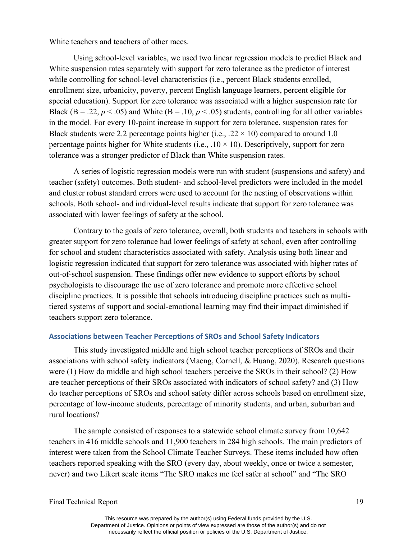White teachers and teachers of other races.

Using school-level variables, we used two linear regression models to predict Black and White suspension rates separately with support for zero tolerance as the predictor of interest while controlling for school-level characteristics (i.e., percent Black students enrolled, enrollment size, urbanicity, poverty, percent English language learners, percent eligible for special education). Support for zero tolerance was associated with a higher suspension rate for Black (B = .22,  $p < .05$ ) and White (B = .10,  $p < .05$ ) students, controlling for all other variables in the model. For every 10-point increase in support for zero tolerance, suspension rates for Black students were 2.2 percentage points higher (i.e., .22  $\times$  10) compared to around 1.0 percentage points higher for White students (i.e.,  $.10 \times 10$ ). Descriptively, support for zero tolerance was a stronger predictor of Black than White suspension rates.

A series of logistic regression models were run with student (suspensions and safety) and teacher (safety) outcomes. Both student- and school-level predictors were included in the model and cluster robust standard errors were used to account for the nesting of observations within schools. Both school- and individual-level results indicate that support for zero tolerance was associated with lower feelings of safety at the school.

Contrary to the goals of zero tolerance, overall, both students and teachers in schools with greater support for zero tolerance had lower feelings of safety at school, even after controlling for school and student characteristics associated with safety. Analysis using both linear and logistic regression indicated that support for zero tolerance was associated with higher rates of out-of-school suspension. These findings offer new evidence to support efforts by school psychologists to discourage the use of zero tolerance and promote more effective school discipline practices. It is possible that schools introducing discipline practices such as multitiered systems of support and social-emotional learning may find their impact diminished if teachers support zero tolerance.

#### **Associations between Teacher Perceptions of SROs and School Safety Indicators**

This study investigated middle and high school teacher perceptions of SROs and their associations with school safety indicators (Maeng, Cornell, & Huang, 2020). Research questions were (1) How do middle and high school teachers perceive the SROs in their school? (2) How are teacher perceptions of their SROs associated with indicators of school safety? and (3) How do teacher perceptions of SROs and school safety differ across schools based on enrollment size, percentage of low-income students, percentage of minority students, and urban, suburban and rural locations?

The sample consisted of responses to a statewide school climate survey from 10,642 teachers in 416 middle schools and 11,900 teachers in 284 high schools. The main predictors of interest were taken from the School Climate Teacher Surveys. These items included how often teachers reported speaking with the SRO (every day, about weekly, once or twice a semester, never) and two Likert scale items "The SRO makes me feel safer at school" and "The SRO

Final Technical Report 19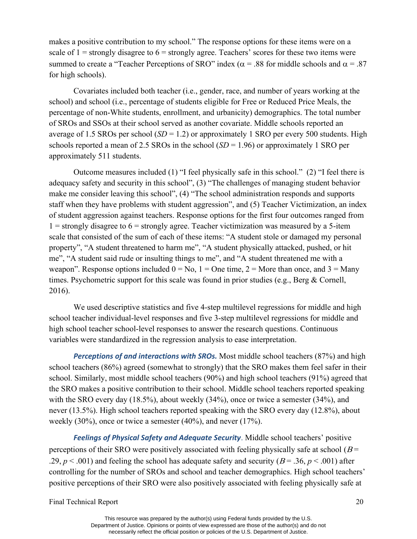makes a positive contribution to my school." The response options for these items were on a scale of  $1 =$  strongly disagree to  $6 =$  strongly agree. Teachers' scores for these two items were summed to create a "Teacher Perceptions of SRO" index ( $\alpha$  = .88 for middle schools and  $\alpha$  = .87 for high schools).

Covariates included both teacher (i.e., gender, race, and number of years working at the school) and school (i.e., percentage of students eligible for Free or Reduced Price Meals, the percentage of non-White students, enrollment, and urbanicity) demographics. The total number of SROs and SSOs at their school served as another covariate. Middle schools reported an average of 1.5 SROs per school  $(SD = 1.2)$  or approximately 1 SRO per every 500 students. High schools reported a mean of 2.5 SROs in the school  $(SD = 1.96)$  or approximately 1 SRO per approximately 511 students.

Outcome measures included (1) "I feel physically safe in this school." (2) "I feel there is adequacy safety and security in this school", (3) "The challenges of managing student behavior make me consider leaving this school", (4) "The school administration responds and supports staff when they have problems with student aggression", and (5) Teacher Victimization, an index of student aggression against teachers. Response options for the first four outcomes ranged from  $1 =$  strongly disagree to  $6 =$  strongly agree. Teacher victimization was measured by a 5-item scale that consisted of the sum of each of these items: "A student stole or damaged my personal property", "A student threatened to harm me", "A student physically attacked, pushed, or hit me", "A student said rude or insulting things to me", and "A student threatened me with a weapon". Response options included  $0 = No$ ,  $1 = One$  time,  $2 = More$  than once, and  $3 = Many$ times. Psychometric support for this scale was found in prior studies (e.g., Berg & Cornell, 2016).

We used descriptive statistics and five 4-step multilevel regressions for middle and high school teacher individual-level responses and five 3-step multilevel regressions for middle and high school teacher school-level responses to answer the research questions. Continuous variables were standardized in the regression analysis to ease interpretation.

*Perceptions of and interactions with SROs.* Most middle school teachers (87%) and high school teachers (86%) agreed (somewhat to strongly) that the SRO makes them feel safer in their school. Similarly, most middle school teachers (90%) and high school teachers (91%) agreed that the SRO makes a positive contribution to their school. Middle school teachers reported speaking with the SRO every day (18.5%), about weekly (34%), once or twice a semester (34%), and never (13.5%). High school teachers reported speaking with the SRO every day (12.8%), about weekly (30%), once or twice a semester (40%), and never (17%).

*Feelings of Physical Safety and Adequate Security*. Middle school teachers' positive perceptions of their SRO were positively associated with feeling physically safe at school ( $B =$ .29,  $p < .001$ ) and feeling the school has adequate safety and security ( $B = .36$ ,  $p < .001$ ) after controlling for the number of SROs and school and teacher demographics. High school teachers' positive perceptions of their SRO were also positively associated with feeling physically safe at

Final Technical Report 20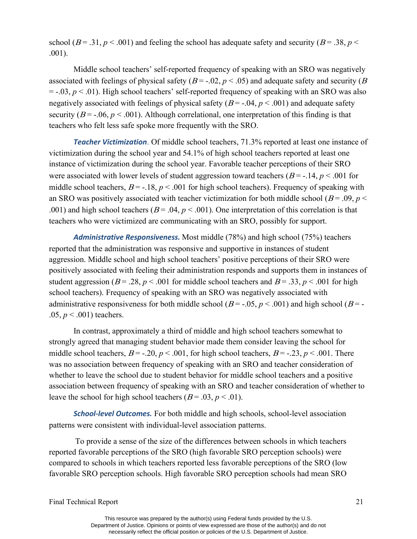school ( $B = .31$ ,  $p < .001$ ) and feeling the school has adequate safety and security ( $B = .38$ ,  $p <$ .001).

Middle school teachers' self-reported frequency of speaking with an SRO was negatively associated with feelings of physical safety ( $B = -0.02$ ,  $p < 0.05$ ) and adequate safety and security ( $B$ )  $=$  -.03,  $p$  < .01). High school teachers' self-reported frequency of speaking with an SRO was also negatively associated with feelings of physical safety  $(B = -0.04, p < 0.001)$  and adequate safety security ( $B = -0.06$ ,  $p < .001$ ). Although correlational, one interpretation of this finding is that teachers who felt less safe spoke more frequently with the SRO.

*Teacher Victimization*. Of middle school teachers, 71.3% reported at least one instance of victimization during the school year and 54.1% of high school teachers reported at least one instance of victimization during the school year. Favorable teacher perceptions of their SRO were associated with lower levels of student aggression toward teachers  $(B = -14, p < .001$  for middle school teachers,  $B = -18$ ,  $p < .001$  for high school teachers). Frequency of speaking with an SRO was positively associated with teacher victimization for both middle school ( $B = .09$ ,  $p <$ .001) and high school teachers ( $B = .04$ ,  $p < .001$ ). One interpretation of this correlation is that teachers who were victimized are communicating with an SRO, possibly for support.

*Administrative Responsiveness.* Most middle (78%) and high school (75%) teachers reported that the administration was responsive and supportive in instances of student aggression. Middle school and high school teachers' positive perceptions of their SRO were positively associated with feeling their administration responds and supports them in instances of student aggression ( $B = .28$ ,  $p < .001$  for middle school teachers and  $B = .33$ ,  $p < .001$  for high school teachers). Frequency of speaking with an SRO was negatively associated with administrative responsiveness for both middle school ( $B = -0.05$ ,  $p < 0.001$ ) and high school ( $B = -0.05$ ) .05,  $p < .001$ ) teachers.

In contrast, approximately a third of middle and high school teachers somewhat to strongly agreed that managing student behavior made them consider leaving the school for middle school teachers,  $B = -0.20$ ,  $p < 0.001$ , for high school teachers,  $B = -0.23$ ,  $p < 0.001$ . There was no association between frequency of speaking with an SRO and teacher consideration of whether to leave the school due to student behavior for middle school teachers and a positive association between frequency of speaking with an SRO and teacher consideration of whether to leave the school for high school teachers  $(B = .03, p < .01)$ .

*School-level Outcomes.* For both middle and high schools, school-level association patterns were consistent with individual-level association patterns.

To provide a sense of the size of the differences between schools in which teachers reported favorable perceptions of the SRO (high favorable SRO perception schools) were compared to schools in which teachers reported less favorable perceptions of the SRO (low favorable SRO perception schools. High favorable SRO perception schools had mean SRO

Final Technical Report 21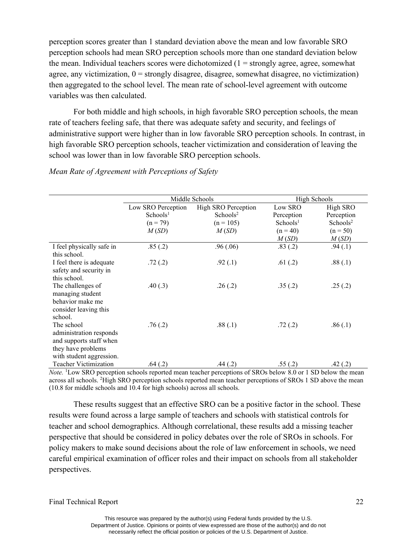perception scores greater than 1 standard deviation above the mean and low favorable SRO perception schools had mean SRO perception schools more than one standard deviation below the mean. Individual teachers scores were dichotomized  $(1 =$  strongly agree, agree, somewhat agree, any victimization,  $0 =$  strongly disagree, disagree, somewhat disagree, no victimization) then aggregated to the school level. The mean rate of school-level agreement with outcome variables was then calculated.

For both middle and high schools, in high favorable SRO perception schools, the mean rate of teachers feeling safe, that there was adequate safety and security, and feelings of administrative support were higher than in low favorable SRO perception schools. In contrast, in high favorable SRO perception schools, teacher victimization and consideration of leaving the school was lower than in low favorable SRO perception schools.

|                                                                                                                    |                      | Middle Schools             | High Schools         |                      |  |
|--------------------------------------------------------------------------------------------------------------------|----------------------|----------------------------|----------------------|----------------------|--|
|                                                                                                                    | Low SRO Perception   | <b>High SRO Perception</b> | Low SRO              | High SRO             |  |
|                                                                                                                    | Schools <sup>1</sup> | Schools <sup>2</sup>       | Perception           | Perception           |  |
|                                                                                                                    | $(n = 79)$           | $(n = 105)$                | Schools <sup>1</sup> | Schools <sup>2</sup> |  |
|                                                                                                                    | M(SD)                | M(SD)                      | $(n = 40)$           | $(n = 50)$           |  |
|                                                                                                                    |                      |                            | M(SD)                | M(SD)                |  |
| I feel physically safe in<br>this school.                                                                          | .85(.2)              | .96(0.06)                  | .83(.2)              | .94(.1)              |  |
| I feel there is adequate<br>safety and security in<br>this school.                                                 | .72(.2)              | .92(.1)                    | .61(.2)              | .88(.1)              |  |
| The challenges of<br>managing student<br>behavior make me<br>consider leaving this<br>school.                      | .40(.3)              | .26(.2)                    | .35(.2)              | .25(.2)              |  |
| The school<br>administration responds<br>and supports staff when<br>they have problems<br>with student aggression. | .76(.2)              | .88(.1)                    | .72(.2)              | .86(.1)              |  |
| Teacher Victimization                                                                                              | .64(.2)              | .44(.2)                    | .55(.2)              | .42(.2)              |  |

#### *Mean Rate of Agreement with Perceptions of Safety*

*Note.* <sup>1</sup>Low SRO perception schools reported mean teacher perceptions of SROs below 8.0 or 1 SD below the mean across all schools. <sup>2</sup>High SRO perception schools reported mean teacher perceptions of SROs 1 SD above the mean (10.8 for middle schools and 10.4 for high schools) across all schools.

These results suggest that an effective SRO can be a positive factor in the school. These results were found across a large sample of teachers and schools with statistical controls for teacher and school demographics. Although correlational, these results add a missing teacher perspective that should be considered in policy debates over the role of SROs in schools. For policy makers to make sound decisions about the role of law enforcement in schools, we need careful empirical examination of officer roles and their impact on schools from all stakeholder perspectives.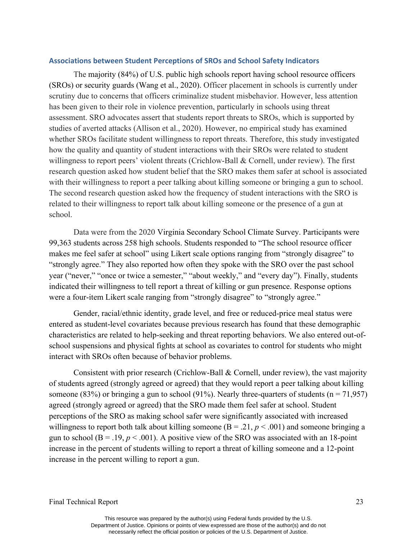#### **Associations between Student Perceptions of SROs and School Safety Indicators**

The majority (84%) of U.S. public high schools report having school resource officers (SROs) or security guards (Wang et al., 2020). Officer placement in schools is currently under scrutiny due to concerns that officers criminalize student misbehavior. However, less attention has been given to their role in violence prevention, particularly in schools using threat assessment. SRO advocates assert that students report threats to SROs, which is supported by studies of averted attacks (Allison et al., 2020). However, no empirical study has examined whether SROs facilitate student willingness to report threats. Therefore, this study investigated how the quality and quantity of student interactions with their SROs were related to student willingness to report peers' violent threats (Crichlow-Ball & Cornell, under review). The first research question asked how student belief that the SRO makes them safer at school is associated with their willingness to report a peer talking about killing someone or bringing a gun to school. The second research question asked how the frequency of student interactions with the SRO is related to their willingness to report talk about killing someone or the presence of a gun at school.

Data were from the 2020 Virginia Secondary School Climate Survey. Participants were 99,363 students across 258 high schools. Students responded to "The school resource officer makes me feel safer at school" using Likert scale options ranging from "strongly disagree" to "strongly agree." They also reported how often they spoke with the SRO over the past school year ("never," "once or twice a semester," "about weekly," and "every day"). Finally, students indicated their willingness to tell report a threat of killing or gun presence. Response options were a four-item Likert scale ranging from "strongly disagree" to "strongly agree."

Gender, racial/ethnic identity, grade level, and free or reduced-price meal status were entered as student-level covariates because previous research has found that these demographic characteristics are related to help-seeking and threat reporting behaviors. We also entered out-ofschool suspensions and physical fights at school as covariates to control for students who might interact with SROs often because of behavior problems.

Consistent with prior research (Crichlow-Ball & Cornell, under review), the vast majority of students agreed (strongly agreed or agreed) that they would report a peer talking about killing someone (83%) or bringing a gun to school (91%). Nearly three-quarters of students ( $n = 71,957$ ) agreed (strongly agreed or agreed) that the SRO made them feel safer at school. Student perceptions of the SRO as making school safer were significantly associated with increased willingness to report both talk about killing someone  $(B = .21, p < .001)$  and someone bringing a gun to school ( $B = .19$ ,  $p < .001$ ). A positive view of the SRO was associated with an 18-point increase in the percent of students willing to report a threat of killing someone and a 12-point increase in the percent willing to report a gun.

Final Technical Report 23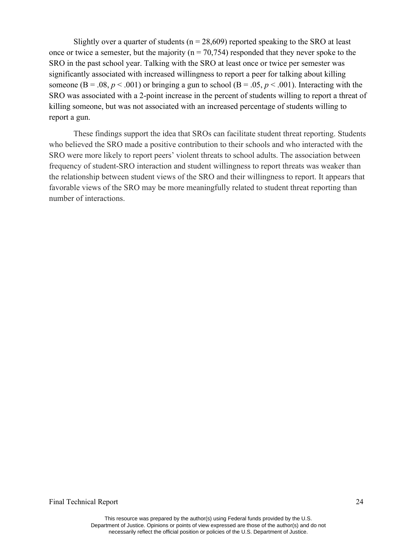Slightly over a quarter of students ( $n = 28,609$ ) reported speaking to the SRO at least once or twice a semester, but the majority ( $n = 70,754$ ) responded that they never spoke to the SRO in the past school year. Talking with the SRO at least once or twice per semester was significantly associated with increased willingness to report a peer for talking about killing someone ( $B = .08$ ,  $p < .001$ ) or bringing a gun to school ( $B = .05$ ,  $p < .001$ ). Interacting with the SRO was associated with a 2-point increase in the percent of students willing to report a threat of killing someone, but was not associated with an increased percentage of students willing to report a gun.

These findings support the idea that SROs can facilitate student threat reporting. Students who believed the SRO made a positive contribution to their schools and who interacted with the SRO were more likely to report peers' violent threats to school adults. The association between frequency of student-SRO interaction and student willingness to report threats was weaker than the relationship between student views of the SRO and their willingness to report. It appears that favorable views of the SRO may be more meaningfully related to student threat reporting than number of interactions.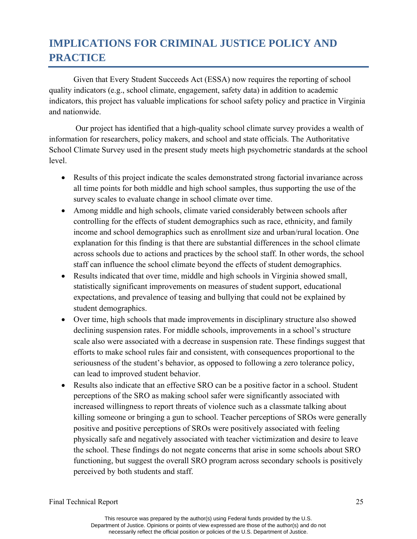## **IMPLICATIONS FOR CRIMINAL JUSTICE POLICY AND PRACTICE**

Given that Every Student Succeeds Act (ESSA) now requires the reporting of school quality indicators (e.g., school climate, engagement, safety data) in addition to academic indicators, this project has valuable implications for school safety policy and practice in Virginia and nationwide.

Our project has identified that a high-quality school climate survey provides a wealth of information for researchers, policy makers, and school and state officials. The Authoritative School Climate Survey used in the present study meets high psychometric standards at the school level.

- Results of this project indicate the scales demonstrated strong factorial invariance across all time points for both middle and high school samples, thus supporting the use of the survey scales to evaluate change in school climate over time.
- Among middle and high schools, climate varied considerably between schools after controlling for the effects of student demographics such as race, ethnicity, and family income and school demographics such as enrollment size and urban/rural location. One explanation for this finding is that there are substantial differences in the school climate across schools due to actions and practices by the school staff. In other words, the school staff can influence the school climate beyond the effects of student demographics.
- Results indicated that over time, middle and high schools in Virginia showed small, statistically significant improvements on measures of student support, educational expectations, and prevalence of teasing and bullying that could not be explained by student demographics.
- Over time, high schools that made improvements in disciplinary structure also showed declining suspension rates. For middle schools, improvements in a school's structure scale also were associated with a decrease in suspension rate. These findings suggest that efforts to make school rules fair and consistent, with consequences proportional to the seriousness of the student's behavior, as opposed to following a zero tolerance policy, can lead to improved student behavior.
- Results also indicate that an effective SRO can be a positive factor in a school. Student perceptions of the SRO as making school safer were significantly associated with increased willingness to report threats of violence such as a classmate talking about killing someone or bringing a gun to school. Teacher perceptions of SROs were generally positive and positive perceptions of SROs were positively associated with feeling physically safe and negatively associated with teacher victimization and desire to leave the school. These findings do not negate concerns that arise in some schools about SRO functioning, but suggest the overall SRO program across secondary schools is positively perceived by both students and staff.

Final Technical Report 25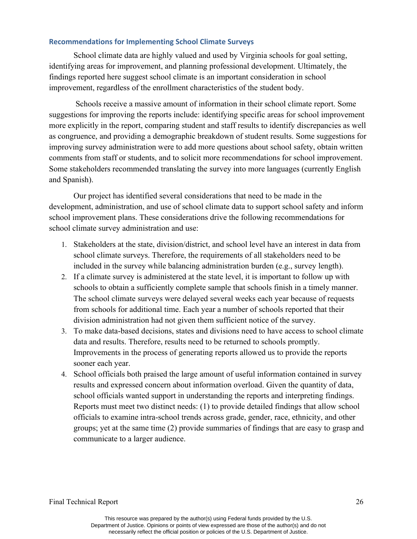#### **Recommendations for Implementing School Climate Surveys**

School climate data are highly valued and used by Virginia schools for goal setting, identifying areas for improvement, and planning professional development. Ultimately, the findings reported here suggest school climate is an important consideration in school improvement, regardless of the enrollment characteristics of the student body.

Schools receive a massive amount of information in their school climate report. Some suggestions for improving the reports include: identifying specific areas for school improvement more explicitly in the report, comparing student and staff results to identify discrepancies as well as congruence, and providing a demographic breakdown of student results. Some suggestions for improving survey administration were to add more questions about school safety, obtain written comments from staff or students, and to solicit more recommendations for school improvement. Some stakeholders recommended translating the survey into more languages (currently English and Spanish).

Our project has identified several considerations that need to be made in the development, administration, and use of school climate data to support school safety and inform school improvement plans. These considerations drive the following recommendations for school climate survey administration and use:

- 1. Stakeholders at the state, division/district, and school level have an interest in data from school climate surveys. Therefore, the requirements of all stakeholders need to be included in the survey while balancing administration burden (e.g., survey length).
- 2. If a climate survey is administered at the state level, it is important to follow up with schools to obtain a sufficiently complete sample that schools finish in a timely manner. The school climate surveys were delayed several weeks each year because of requests from schools for additional time. Each year a number of schools reported that their division administration had not given them sufficient notice of the survey.
- 3. To make data-based decisions, states and divisions need to have access to school climate data and results. Therefore, results need to be returned to schools promptly. Improvements in the process of generating reports allowed us to provide the reports sooner each year.
- 4. School officials both praised the large amount of useful information contained in survey results and expressed concern about information overload. Given the quantity of data, school officials wanted support in understanding the reports and interpreting findings. Reports must meet two distinct needs: (1) to provide detailed findings that allow school officials to examine intra-school trends across grade, gender, race, ethnicity, and other groups; yet at the same time (2) provide summaries of findings that are easy to grasp and communicate to a larger audience.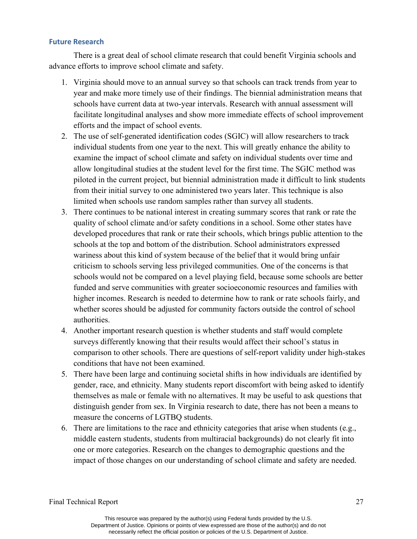#### **Future Research**

There is a great deal of school climate research that could benefit Virginia schools and advance efforts to improve school climate and safety.

- 1. Virginia should move to an annual survey so that schools can track trends from year to year and make more timely use of their findings. The biennial administration means that schools have current data at two-year intervals. Research with annual assessment will facilitate longitudinal analyses and show more immediate effects of school improvement efforts and the impact of school events.
- 2. The use of self-generated identification codes (SGIC) will allow researchers to track individual students from one year to the next. This will greatly enhance the ability to examine the impact of school climate and safety on individual students over time and allow longitudinal studies at the student level for the first time. The SGIC method was piloted in the current project, but biennial administration made it difficult to link students from their initial survey to one administered two years later. This technique is also limited when schools use random samples rather than survey all students.
- 3. There continues to be national interest in creating summary scores that rank or rate the quality of school climate and/or safety conditions in a school. Some other states have developed procedures that rank or rate their schools, which brings public attention to the schools at the top and bottom of the distribution. School administrators expressed wariness about this kind of system because of the belief that it would bring unfair criticism to schools serving less privileged communities. One of the concerns is that schools would not be compared on a level playing field, because some schools are better funded and serve communities with greater socioeconomic resources and families with higher incomes. Research is needed to determine how to rank or rate schools fairly, and whether scores should be adjusted for community factors outside the control of school authorities.
- 4. Another important research question is whether students and staff would complete surveys differently knowing that their results would affect their school's status in comparison to other schools. There are questions of self-report validity under high-stakes conditions that have not been examined.
- 5. There have been large and continuing societal shifts in how individuals are identified by gender, race, and ethnicity. Many students report discomfort with being asked to identify themselves as male or female with no alternatives. It may be useful to ask questions that distinguish gender from sex. In Virginia research to date, there has not been a means to measure the concerns of LGTBQ students.
- 6. There are limitations to the race and ethnicity categories that arise when students (e.g., middle eastern students, students from multiracial backgrounds) do not clearly fit into one or more categories. Research on the changes to demographic questions and the impact of those changes on our understanding of school climate and safety are needed.

Final Technical Report 27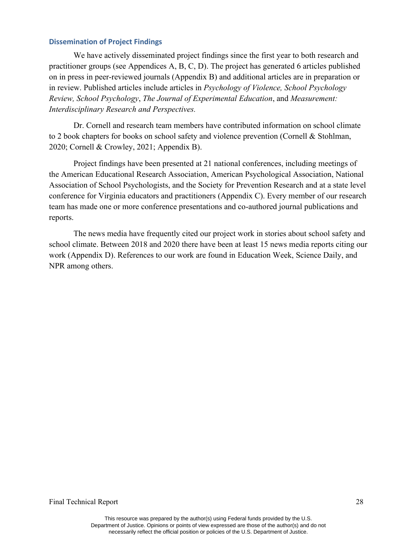#### **Dissemination of Project Findings**

We have actively disseminated project findings since the first year to both research and practitioner groups (see Appendices A, B, C, D). The project has generated 6 articles published on in press in peer-reviewed journals (Appendix B) and additional articles are in preparation or in review. Published articles include articles in *Psychology of Violence, School Psychology Review, School Psychology*, *The Journal of Experimental Education*, and *Measurement: Interdisciplinary Research and Perspectives.*

Dr. Cornell and research team members have contributed information on school climate to 2 book chapters for books on school safety and violence prevention (Cornell & Stohlman, 2020; Cornell & Crowley, 2021; Appendix B).

Project findings have been presented at 21 national conferences, including meetings of the American Educational Research Association, American Psychological Association, National Association of School Psychologists, and the Society for Prevention Research and at a state level conference for Virginia educators and practitioners (Appendix C). Every member of our research team has made one or more conference presentations and co-authored journal publications and reports.

The news media have frequently cited our project work in stories about school safety and school climate. Between 2018 and 2020 there have been at least 15 news media reports citing our work (Appendix D). References to our work are found in Education Week, Science Daily, and NPR among others.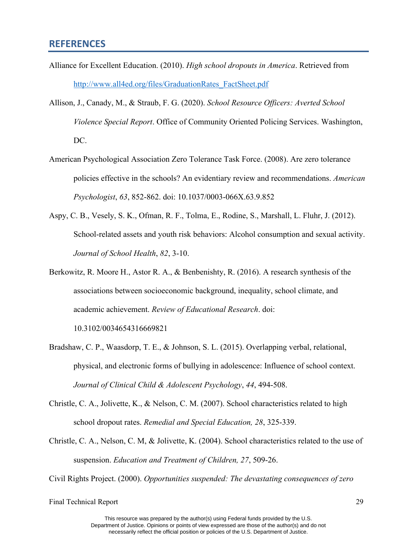#### **REFERENCES**

- Alliance for Excellent Education. (2010). *High school dropouts in America*. Retrieved from [http://www.all4ed.org/files/GraduationRates\\_FactSheet.pdf](http://www.all4ed.org/files/GraduationRates_FactSheet.pdf)
- Allison, J., Canady, M., & Straub, F. G. (2020). *School Resource Officers: Averted School Violence Special Report*. Office of Community Oriented Policing Services. Washington, DC.
- American Psychological Association Zero Tolerance Task Force. (2008). Are zero tolerance policies effective in the schools? An evidentiary review and recommendations. *American Psychologist*, *63*, 852-862. doi: 10.1037/0003-066X.63.9.852
- Aspy, C. B., Vesely, S. K., Ofman, R. F., Tolma, E., Rodine, S., Marshall, L. Fluhr, J. (2012). School-related assets and youth risk behaviors: Alcohol consumption and sexual activity. *Journal of School Health*, *82*, 3-10.
- Berkowitz, R. Moore H., Astor R. A., & Benbenishty, R. (2016). A research synthesis of the associations between socioeconomic background, inequality, school climate, and academic achievement. *Review of Educational Research*. doi:

10.3102/0034654316669821

- Bradshaw, C. P., Waasdorp, T. E., & Johnson, S. L. (2015). Overlapping verbal, relational, physical, and electronic forms of bullying in adolescence: Influence of school context. *Journal of Clinical Child & Adolescent Psychology*, *44*, 494-508.
- Christle, C. A., Jolivette, K., & Nelson, C. M. (2007). School characteristics related to high school dropout rates. *Remedial and Special Education, 28*, 325-339.
- Christle, C. A., Nelson, C. M, & Jolivette, K. (2004). School characteristics related to the use of suspension. *Education and Treatment of Children, 27*, 509-26.

Civil Rights Project. (2000). *Opportunities suspended: The devastating consequences of zero*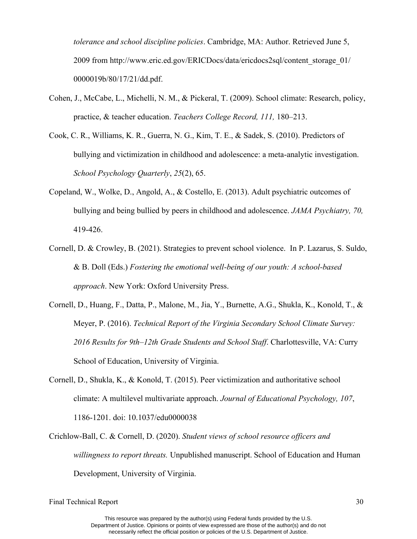*tolerance and school discipline policies*. Cambridge, MA: Author. Retrieved June 5, 2009 from http://www.eric.ed.gov/ERICDocs/data/ericdocs2sql/content\_storage\_01/ 0000019b/80/17/21/dd.pdf.

- Cohen, J., McCabe, L., Michelli, N. M., & Pickeral, T. (2009). School climate: Research, policy, practice, & teacher education. *Teachers College Record, 111,* 180–213.
- Cook, C. R., Williams, K. R., Guerra, N. G., Kim, T. E., & Sadek, S. (2010). Predictors of bullying and victimization in childhood and adolescence: a meta-analytic investigation. *School Psychology Quarterly*, *25*(2), 65.
- Copeland, W., Wolke, D., Angold, A., & Costello, E. (2013). Adult psychiatric outcomes of bullying and being bullied by peers in childhood and adolescence. *JAMA Psychiatry, 70,* 419-426.
- Cornell, D. & Crowley, B. (2021). Strategies to prevent school violence. In P. Lazarus, S. Suldo, & B. Doll (Eds.) *Fostering the emotional well-being of our youth: A school-based approach*. New York: Oxford University Press.
- Cornell, D., Huang, F., Datta, P., Malone, M., Jia, Y., Burnette, A.G., Shukla, K., Konold, T., & Meyer, P. (2016). *Technical Report of the Virginia Secondary School Climate Survey: 2016 Results for 9th–12th Grade Students and School Staff*. Charlottesville, VA: Curry School of Education, University of Virginia.
- Cornell, D., Shukla, K., & Konold, T. (2015). Peer victimization and authoritative school climate: A multilevel multivariate approach. *Journal of Educational Psychology, 107*, 1186-1201. doi: 10.1037/edu0000038
- Crichlow-Ball, C. & Cornell, D. (2020). *Student views of school resource officers and willingness to report threats.* Unpublished manuscript. School of Education and Human Development, University of Virginia.

This resource was prepared by the author(s) using Federal funds provided by the U.S. Department of Justice. Opinions or points of view expressed are those of the author(s) and do not necessarily reflect the official position or policies of the U.S. Department of Justice.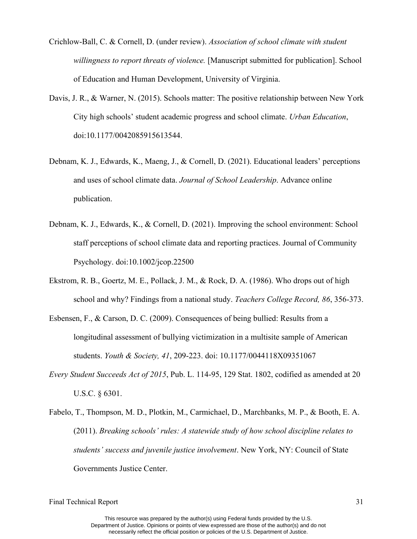- Crichlow-Ball, C. & Cornell, D. (under review). *Association of school climate with student willingness to report threats of violence.* [Manuscript submitted for publication]. School of Education and Human Development, University of Virginia.
- Davis, J. R., & Warner, N. (2015). Schools matter: The positive relationship between New York City high schools' student academic progress and school climate. *Urban Education*, doi:10.1177/0042085915613544.
- Debnam, K. J., Edwards, K., Maeng, J., & Cornell, D. (2021). Educational leaders' perceptions and uses of school climate data. *Journal of School Leadership*. Advance online publication.
- Debnam, K. J., Edwards, K., & Cornell, D. (2021). Improving the school environment: School staff perceptions of school climate data and reporting practices. Journal of Community Psychology. doi:10.1002/jcop.22500
- Ekstrom, R. B., Goertz, M. E., Pollack, J. M., & Rock, D. A. (1986). Who drops out of high school and why? Findings from a national study. *Teachers College Record, 86*, 356-373.
- Esbensen, F., & Carson, D. C. (2009). Consequences of being bullied: Results from a longitudinal assessment of bullying victimization in a multisite sample of American students. *Youth & Society, 41*, 209-223. doi: 10.1177/0044118X09351067
- *Every Student Succeeds Act of 2015*, Pub. L. 114-95, 129 Stat. 1802, codified as amended at 20 U.S.C. § 6301.
- Fabelo, T., Thompson, M. D., Plotkin, M., Carmichael, D., Marchbanks, M. P., & Booth, E. A. (2011). *Breaking schools' rules: A statewide study of how school discipline relates to students' success and juvenile justice involvement*. New York, NY: Council of State Governments Justice Center.

This resource was prepared by the author(s) using Federal funds provided by the U.S. Department of Justice. Opinions or points of view expressed are those of the author(s) and do not necessarily reflect the official position or policies of the U.S. Department of Justice.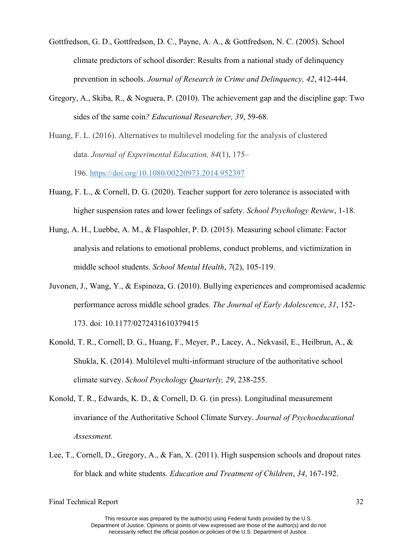- Gottfredson, G. D., Gottfredson, D. C., Payne, A. A., & Gottfredson, N. C. (2005). School climate predictors of school disorder: Results from a national study of delinquency prevention in schools. *Journal of Research in Crime and Delinquency, 42*, 412-444.
- Gregory, A., Skiba, R., & Noguera, P. (2010). The achievement gap and the discipline gap: Two sides of the same coin*? Educational Researcher, 39*, 59-68.

Huang, F. L. (2016). Alternatives to multilevel modeling for the analysis of clustered data. *Journal of Experimental Education, 84*(1), 175– 196. [https://doi.org/10.1080/00220973.2014.952397](https://psycnet.apa.org/doi/10.1080/00220973.2014.952397)

- Huang, F. L., & Cornell, D. G. (2020). Teacher support for zero tolerance is associated with higher suspension rates and lower feelings of safety. *School Psychology Review*, 1-18.
- Hung, A. H., Luebbe, A. M., & Flaspohler, P. D. (2015). Measuring school climate: Factor analysis and relations to emotional problems, conduct problems, and victimization in middle school students. *School Mental Health*, *7*(2), 105-119.
- Juvonen, J., Wang, Y., & Espinoza, G. (2010). Bullying experiences and compromised academic performance across middle school grades. *The Journal of Early Adolescence*, *31*, 152- 173. doi: 10.1177/0272431610379415
- Konold, T. R., Cornell, D. G., Huang, F., Meyer, P., Lacey, A., Nekvasil, E., Heilbrun, A., & Shukla, K. (2014). Multilevel multi-informant structure of the authoritative school climate survey. *School Psychology Quarterly, 29*, 238-255.
- Konold, T. R., Edwards, K. D., & Cornell, D. G. (in press). Longitudinal measurement invariance of the Authoritative School Climate Survey. *Journal of Psychoeducational Assessment.*
- Lee, T., Cornell, D., Gregory, A., & Fan, X. (2011). High suspension schools and dropout rates for black and white students. *Education and Treatment of Children*, *34*, 167-192.

This resource was prepared by the author(s) using Federal funds provided by the U.S. Department of Justice. Opinions or points of view expressed are those of the author(s) and do not necessarily reflect the official position or policies of the U.S. Department of Justice.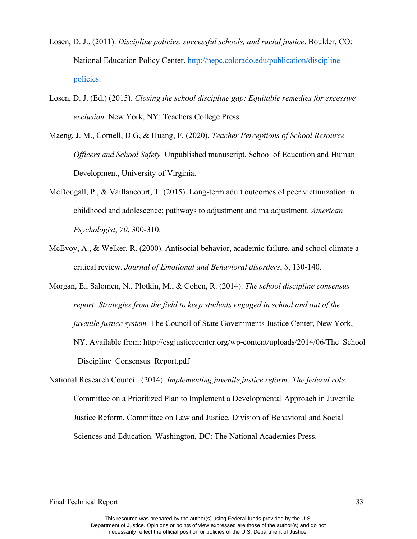- Losen, D. J., (2011). *Discipline policies, successful schools, and racial justice*. Boulder, CO: National Education Policy Center. [http://nepc.colorado.edu/publication/discipline](http://nepc.colorado.edu/publication/discipline-policies)[policies.](http://nepc.colorado.edu/publication/discipline-policies)
- Losen, D. J. (Ed.) (2015). *Closing the school discipline gap: Equitable remedies for excessive exclusion.* New York, NY: Teachers College Press.
- Maeng, J. M., Cornell, D.G, & Huang, F. (2020). *Teacher Perceptions of School Resource Officers and School Safety.* Unpublished manuscript. School of Education and Human Development, University of Virginia.
- McDougall, P., & Vaillancourt, T. (2015). Long-term adult outcomes of peer victimization in childhood and adolescence: pathways to adjustment and maladjustment. *American Psychologist*, *70*, 300-310.
- McEvoy, A., & Welker, R. (2000). Antisocial behavior, academic failure, and school climate a critical review. *Journal of Emotional and Behavioral disorders*, *8*, 130-140.
- Morgan, E., Salomen, N., Plotkin, M., & Cohen, R. (2014). *The school discipline consensus report: Strategies from the field to keep students engaged in school and out of the juvenile justice system.* The Council of State Governments Justice Center, New York, NY. Available from: http://csgjusticecenter.org/wp-content/uploads/2014/06/The\_School Discipline Consensus Report.pdf
- National Research Council. (2014). *Implementing juvenile justice reform: The federal role*. Committee on a Prioritized Plan to Implement a Developmental Approach in Juvenile Justice Reform, Committee on Law and Justice, Division of Behavioral and Social Sciences and Education. Washington, DC: The National Academies Press.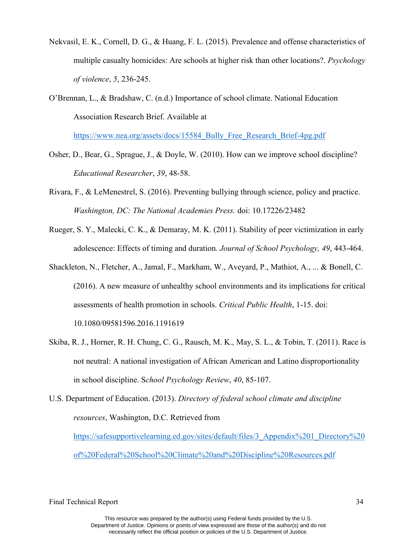- Nekvasil, E. K., Cornell, D. G., & Huang, F. L. (2015). Prevalence and offense characteristics of multiple casualty homicides: Are schools at higher risk than other locations?. *Psychology of violence*, *5*, 236-245.
- O'Brennan, L., & Bradshaw, C. (n.d.) Importance of school climate. National Education Association Research Brief. Available at

[https://www.nea.org/assets/docs/15584\\_Bully\\_Free\\_Research\\_Brief-4pg.pdf](https://www.nea.org/assets/docs/15584_Bully_Free_Research_Brief-4pg.pdf)

- Osher, D., Bear, G., Sprague, J., & Doyle, W. (2010). How can we improve school discipline? *Educational Researcher*, *39*, 48-58.
- Rivara, F., & LeMenestrel, S. (2016). Preventing bullying through science, policy and practice. *Washington, DC: The National Academies Press.* doi: 10.17226/23482
- Rueger, S. Y., Malecki, C. K., & Demaray, M. K. (2011). Stability of peer victimization in early adolescence: Effects of timing and duration*. Journal of School Psychology, 49*, 443-464.
- Shackleton, N., Fletcher, A., Jamal, F., Markham, W., Aveyard, P., Mathiot, A., ... & Bonell, C. (2016). A new measure of unhealthy school environments and its implications for critical assessments of health promotion in schools. *Critical Public Health*, 1-15. doi: 10.1080/09581596.2016.1191619
- Skiba, R. J., Horner, R. H. Chung, C. G., Rausch, M. K., May, S. L., & Tobin, T. (2011). Race is not neutral: A national investigation of African American and Latino disproportionality in school discipline. S*chool Psychology Review*, *40*, 85-107.
- U.S. Department of Education. (2013). *Directory of federal school climate and discipline resources*, Washington, D.C. Retrieved from [https://safesupportivelearning.ed.gov/sites/default/files/3\\_Appendix%201\\_Directory%20](https://safesupportivelearning.ed.gov/sites/default/files/3_Appendix%201_Directory%20of%20Federal%20School%20Climate%20and%20Discipline%20Resources.pdf) [of%20Federal%20School%20Climate%20and%20Discipline%20Resources.pdf](https://safesupportivelearning.ed.gov/sites/default/files/3_Appendix%201_Directory%20of%20Federal%20School%20Climate%20and%20Discipline%20Resources.pdf)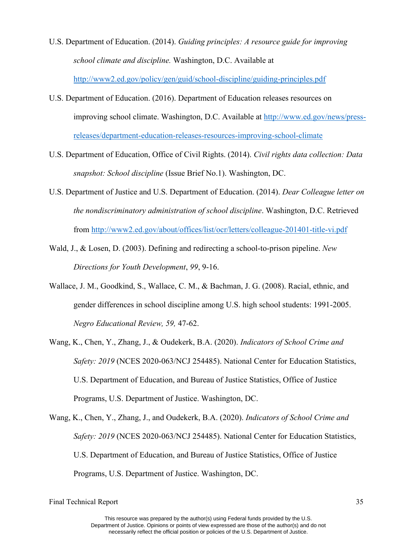- U.S. Department of Education. (2014). *Guiding principles: A resource guide for improving school climate and discipline.* Washington, D.C. Available at <http://www2.ed.gov/policy/gen/guid/school-discipline/guiding-principles.pdf>
- U.S. Department of Education. (2016). Department of Education releases resources on improving school climate. Washington, D.C. Available at [http://www.ed.gov/news/press](http://www.ed.gov/news/press-releases/department-education-releases-resources-improving-school-climate)[releases/department-education-releases-resources-improving-school-climate](http://www.ed.gov/news/press-releases/department-education-releases-resources-improving-school-climate)
- U.S. Department of Education, Office of Civil Rights. (2014). *Civil rights data collection: Data snapshot: School discipline* (Issue Brief No.1). Washington, DC.
- U.S. Department of Justice and U.S. Department of Education. (2014). *Dear Colleague letter on the nondiscriminatory administration of school discipline*. Washington, D.C. Retrieved from<http://www2.ed.gov/about/offices/list/ocr/letters/colleague-201401-title-vi.pdf>
- Wald, J., & Losen, D. (2003). Defining and redirecting a school-to-prison pipeline. *New Directions for Youth Development*, *99*, 9-16.
- Wallace, J. M., Goodkind, S., Wallace, C. M., & Bachman, J. G. (2008). Racial, ethnic, and gender differences in school discipline among U.S. high school students: 1991-2005. *Negro Educational Review, 59,* 47-62.
- Wang, K., Chen, Y., Zhang, J., & Oudekerk, B.A. (2020). *Indicators of School Crime and Safety: 2019* (NCES 2020-063/NCJ 254485). National Center for Education Statistics, U.S. Department of Education, and Bureau of Justice Statistics, Office of Justice Programs, U.S. Department of Justice. Washington, DC.
- Wang, K., Chen, Y., Zhang, J., and Oudekerk, B.A. (2020). *Indicators of School Crime and Safety: 2019* (NCES 2020-063/NCJ 254485). National Center for Education Statistics, U.S. Department of Education, and Bureau of Justice Statistics, Office of Justice Programs, U.S. Department of Justice. Washington, DC.

Final Technical Report 35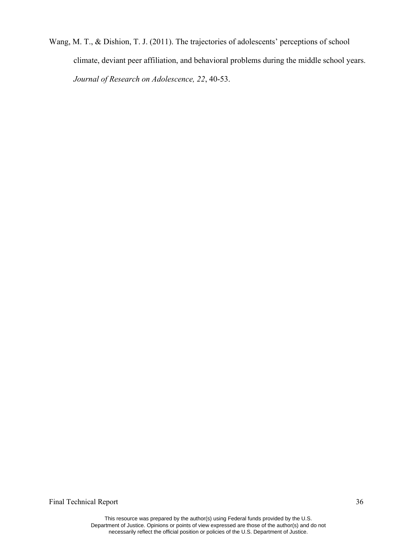Wang, M. T., & Dishion, T. J. (2011). The trajectories of adolescents' perceptions of school climate, deviant peer affiliation, and behavioral problems during the middle school years. *Journal of Research on Adolescence, 22*, 40-53.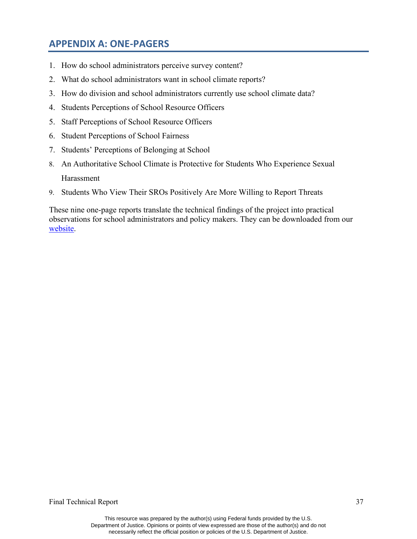### **APPENDIX A: ONE-PAGERS**

- 1. How do school administrators perceive survey content?
- 2. What do school administrators want in school climate reports?
- 3. How do division and school administrators currently use school climate data?
- 4. Students Perceptions of School Resource Officers
- 5. Staff Perceptions of School Resource Officers
- 6. Student Perceptions of School Fairness
- 7. Students' Perceptions of Belonging at School
- 8. An Authoritative School Climate is Protective for Students Who Experience Sexual **Harassment**
- 9. Students Who View Their SROs Positively Are More Willing to Report Threats

These nine one-page reports translate the technical findings of the project into practical observations for school administrators and policy makers. They can be downloaded from our [website.](https://education.virginia.edu/faculty-research/centers-labs-projects/research-labs/youth-violence-project/youth-violence-project-0)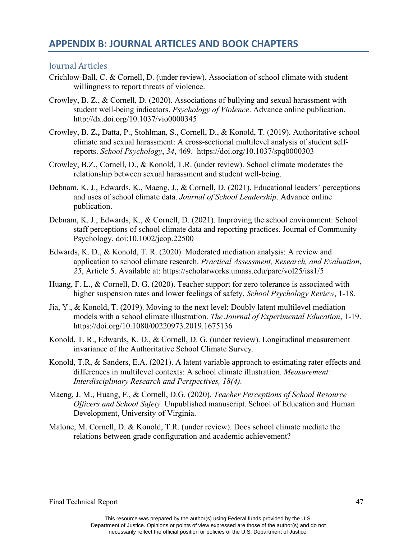### **APPENDIX B: JOURNAL ARTICLES AND BOOK CHAPTERS**

#### Journal Articles

- Crichlow-Ball, C. & Cornell, D. (under review). Association of school climate with student willingness to report threats of violence.
- Crowley, B. Z., & Cornell, D. (2020). Associations of bullying and sexual harassment with student well-being indicators. *Psychology of Violence*. Advance online publication. http://dx.doi.org/10.1037/vio0000345
- Crowley, B. Z**.,** Datta, P., Stohlman, S., Cornell, D., & Konold, T. (2019). Authoritative school climate and sexual harassment: A cross-sectional multilevel analysis of student selfreports. *School Psychology*, *34*, 469. https://doi.org/10.1037/spq0000303
- Crowley, B.Z., Cornell, D., & Konold, T.R. (under review). School climate moderates the relationship between sexual harassment and student well-being.
- Debnam, K. J., Edwards, K., Maeng, J., & Cornell, D. (2021). Educational leaders' perceptions and uses of school climate data. *Journal of School Leadership*. Advance online publication.
- Debnam, K. J., Edwards, K., & Cornell, D. (2021). Improving the school environment: School staff perceptions of school climate data and reporting practices. Journal of Community Psychology. doi:10.1002/jcop.22500
- Edwards, K. D., & Konold, T. R. (2020). Moderated mediation analysis: A review and application to school climate research. *Practical Assessment, Research, and Evaluation*, *25*, Article 5. Available at: https://scholarworks.umass.edu/pare/vol25/iss1/5
- Huang, F. L., & Cornell, D. G. (2020). Teacher support for zero tolerance is associated with higher suspension rates and lower feelings of safety. *School Psychology Review*, 1-18.
- Jia, Y., & Konold, T. (2019). Moving to the next level: Doubly latent multilevel mediation models with a school climate illustration. *The Journal of Experimental Education*, 1-19. https://doi.org/10.1080/00220973.2019.1675136
- Konold, T. R., Edwards, K. D., & Cornell, D. G. (under review). Longitudinal measurement invariance of the Authoritative School Climate Survey.
- Konold, T.R, & Sanders, E.A. (2021). A latent variable approach to estimating rater effects and differences in multilevel contexts: A school climate illustration. *Measurement: Interdisciplinary Research and Perspectives, 18(4).*
- Maeng, J. M., Huang, F., & Cornell, D.G. (2020). *Teacher Perceptions of School Resource Officers and School Safety.* Unpublished manuscript. School of Education and Human Development, University of Virginia.
- Malone, M. Cornell, D. & Konold, T.R. (under review). Does school climate mediate the relations between grade configuration and academic achievement?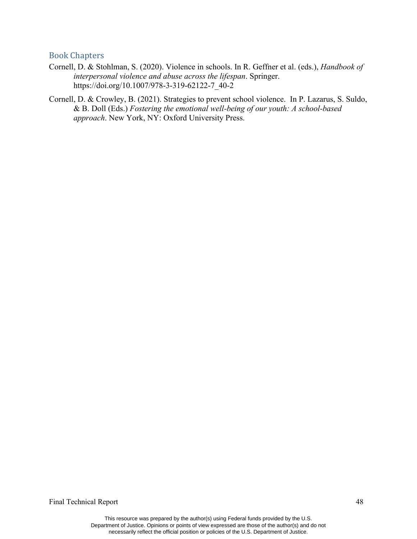#### Book Chapters

- Cornell, D. & Stohlman, S. (2020). Violence in schools. In R. Geffner et al. (eds.), *Handbook of interpersonal violence and abuse across the lifespan*. Springer. https://doi.org/10.1007/978-3-319-62122-7\_40-2
- Cornell, D. & Crowley, B. (2021). Strategies to prevent school violence. In P. Lazarus, S. Suldo, & B. Doll (Eds.) *Fostering the emotional well-being of our youth: A school-based approach*. New York, NY: Oxford University Press.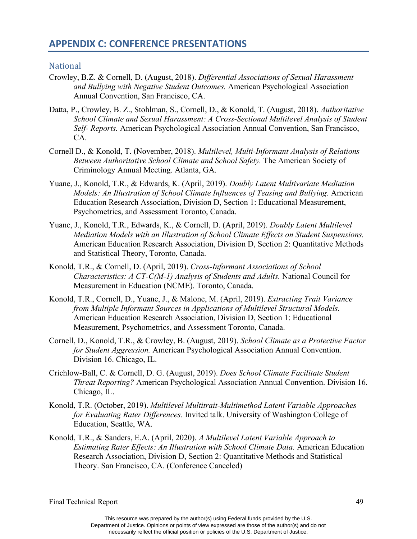#### **National**

- Crowley, B.Z. & Cornell, D. (August, 2018). *Differential Associations of Sexual Harassment and Bullying with Negative Student Outcomes.* American Psychological Association Annual Convention, San Francisco, CA.
- Datta, P., Crowley, B. Z., Stohlman, S., Cornell, D., & Konold, T. (August, 2018). *Authoritative School Climate and Sexual Harassment: A Cross-Sectional Multilevel Analysis of Student Self- Reports.* American Psychological Association Annual Convention, San Francisco, CA.
- Cornell D., & Konold, T. (November, 2018). *Multilevel, Multi-Informant Analysis of Relations Between Authoritative School Climate and School Safety.* The American Society of Criminology Annual Meeting. Atlanta, GA.
- Yuane, J., Konold, T.R., & Edwards, K. (April, 2019). *Doubly Latent Multivariate Mediation Models: An Illustration of School Climate Influences of Teasing and Bullying.* American Education Research Association, Division D, Section 1: Educational Measurement, Psychometrics, and Assessment Toronto, Canada.
- Yuane, J., Konold, T.R., Edwards, K., & Cornell, D. (April, 2019). *Doubly Latent Multilevel Mediation Models with an Illustration of School Climate Effects on Student Suspensions.* American Education Research Association, Division D, Section 2: Quantitative Methods and Statistical Theory, Toronto, Canada.
- Konold, T.R., & Cornell, D. (April, 2019). *Cross-Informant Associations of School Characteristics: A CT-C(M-1) Analysis of Students and Adults.* National Council for Measurement in Education (NCME). Toronto, Canada.
- Konold, T.R., Cornell, D., Yuane, J., & Malone, M. (April, 2019). *Extracting Trait Variance from Multiple Informant Sources in Applications of Multilevel Structural Models.* American Education Research Association, Division D, Section 1: Educational Measurement, Psychometrics, and Assessment Toronto, Canada.
- Cornell, D., Konold, T.R., & Crowley, B. (August, 2019). *School Climate as a Protective Factor for Student Aggression.* American Psychological Association Annual Convention. Division 16. Chicago, IL.
- Crichlow-Ball, C. & Cornell, D. G. (August, 2019). *Does School Climate Facilitate Student Threat Reporting?* American Psychological Association Annual Convention. Division 16. Chicago, IL.
- Konold, T.R. (October, 2019). *Multilevel Multitrait-Multimethod Latent Variable Approaches for Evaluating Rater Differences.* Invited talk. University of Washington College of Education, Seattle, WA.
- Konold, T.R., & Sanders, E.A. (April, 2020). *A Multilevel Latent Variable Approach to Estimating Rater Effects: An Illustration with School Climate Data.* American Education Research Association, Division D, Section 2: Quantitative Methods and Statistical Theory. San Francisco, CA. (Conference Canceled)

This resource was prepared by the author(s) using Federal funds provided by the U.S. Department of Justice. Opinions or points of view expressed are those of the author(s) and do not necessarily reflect the official position or policies of the U.S. Department of Justice.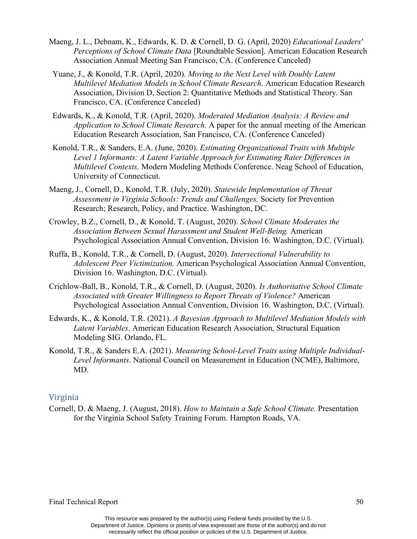- Maeng, J. L., Debnam, K., Edwards, K. D. & Cornell, D. G. (April, 2020) *Educational Leaders' Perceptions of School Climate Data* [Roundtable Session]. American Education Research Association Annual Meeting San Francisco, CA. (Conference Canceled)
- Yuane, J., & Konold, T.R. (April, 2020). *Moving to the Next Level with Doubly Latent Multilevel Mediation Models in School Climate Research*. American Education Research Association, Division D, Section 2: Quantitative Methods and Statistical Theory. San Francisco, CA. (Conference Canceled)
- Edwards, K., & Konold, T.R. (April, 2020). *Moderated Mediation Analysis: A Review and Application to School Climate Research.* A paper for the annual meeting of the American Education Research Association, San Francisco, CA. (Conference Canceled)
- Konold, T.R., & Sanders, E.A. (June, 2020). *Estimating Organizational Traits with Multiple Level 1 Informants: A Latent Variable Approach for Estimating Rater Differences in Multilevel Contexts.* Modern Modeling Methods Conference. Neag School of Education, University of Connecticut.
- Maeng, J., Cornell, D., Konold, T.R. (July, 2020). *Statewide Implementation of Threat Assessment in Virginia Schools: Trends and Challenges.* Society for Prevention Research; Research, Policy, and Practice. Washington, DC.
- Crowley, B.Z., Cornell, D., & Konold, T. (August, 2020). *School Climate Moderates the Association Between Sexual Harassment and Student Well-Being.* American Psychological Association Annual Convention, Division 16. Washington, D.C. (Virtual).
- Ruffa, B., Konold, T.R., & Cornell, D. (August, 2020). *Intersectional Vulnerability to Adolescent Peer Victimization.* American Psychological Association Annual Convention, Division 16. Washington, D.C. (Virtual).
- Crichlow-Ball, B., Konold, T.R., & Cornell, D. (August, 2020). *Is Authoritative School Climate Associated with Greater Willingness to Report Threats of Violence?* American Psychological Association Annual Convention, Division 16. Washington, D.C. (Virtual).
- Edwards, K., & Konold, T.R. (2021). *A Bayesian Approach to Multilevel Mediation Models with Latent Variables*. American Education Research Association, Structural Equation Modeling SIG. Orlando, FL.
- Konold, T.R., & Sanders E.A. (2021). *Measuring School-Level Traits using Multiple Individual-Level Informants*. National Council on Measurement in Education (NCME), Baltimore, MD.

#### Virginia

Cornell, D. & Maeng, J. (August, 2018). *How to Maintain a Safe School Climate.* Presentation for the Virginia School Safety Training Forum. Hampton Roads, VA.

This resource was prepared by the author(s) using Federal funds provided by the U.S. Department of Justice. Opinions or points of view expressed are those of the author(s) and do not necessarily reflect the official position or policies of the U.S. Department of Justice.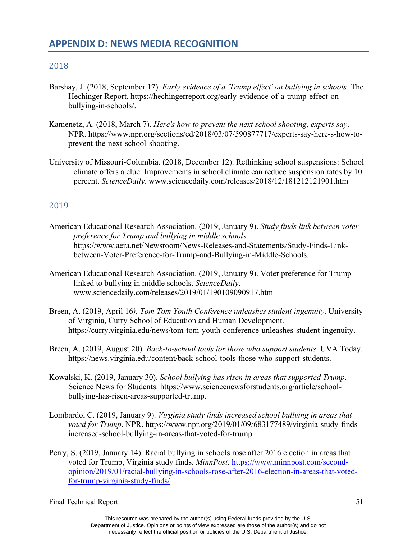#### 2018

- Barshay, J. (2018, September 17). *Early evidence of a 'Trump effect' on bullying in schools*. The Hechinger Report. https://hechingerreport.org/early-evidence-of-a-trump-effect-onbullying-in-schools/.
- Kamenetz, A. (2018, March 7). *Here's how to prevent the next school shooting, experts say*. NPR. https://www.npr.org/sections/ed/2018/03/07/590877717/experts-say-here-s-how-toprevent-the-next-school-shooting.
- University of Missouri-Columbia. (2018, December 12). Rethinking school suspensions: School climate offers a clue: Improvements in school climate can reduce suspension rates by 10 percent. *ScienceDaily*. www.sciencedaily.com/releases/2018/12/181212121901.htm

#### 2019

- American Educational Research Association. (2019, January 9). *Study finds link between voter preference for Trump and bullying in middle schools.* https://www.aera.net/Newsroom/News-Releases-and-Statements/Study-Finds-Linkbetween-Voter-Preference-for-Trump-and-Bullying-in-Middle-Schools.
- American Educational Research Association. (2019, January 9). Voter preference for Trump linked to bullying in middle schools. *ScienceDaily*. www.sciencedaily.com/releases/2019/01/190109090917.htm
- Breen, A. (2019, April 16*). Tom Tom Youth Conference unleashes student ingenuity*. University of Virginia, Curry School of Education and Human Development. https://curry.virginia.edu/news/tom-tom-youth-conference-unleashes-student-ingenuity.
- Breen, A. (2019, August 20). *Back-to-school tools for those who support students*. UVA Today. https://news.virginia.edu/content/back-school-tools-those-who-support-students.
- Kowalski, K. (2019, January 30). *School bullying has risen in areas that supported Trump*. Science News for Students. https://www.sciencenewsforstudents.org/article/schoolbullying-has-risen-areas-supported-trump.
- Lombardo, C. (2019, January 9). *Virginia study finds increased school bullying in areas that voted for Trump*. NPR. https://www.npr.org/2019/01/09/683177489/virginia-study-findsincreased-school-bullying-in-areas-that-voted-for-trump.
- Perry, S. (2019, January 14). Racial bullying in schools rose after 2016 election in areas that voted for Trump, Virginia study finds. *MinnPost*. [https://www.minnpost.com/second](https://www.minnpost.com/second-opinion/2019/01/racial-bullying-in-schools-rose-after-2016-election-in-areas-that-voted-for-trump-virginia-study-finds/)[opinion/2019/01/racial-bullying-in-schools-rose-after-2016-election-in-areas-that-voted](https://www.minnpost.com/second-opinion/2019/01/racial-bullying-in-schools-rose-after-2016-election-in-areas-that-voted-for-trump-virginia-study-finds/)[for-trump-virginia-study-finds/](https://www.minnpost.com/second-opinion/2019/01/racial-bullying-in-schools-rose-after-2016-election-in-areas-that-voted-for-trump-virginia-study-finds/)

This resource was prepared by the author(s) using Federal funds provided by the U.S. Department of Justice. Opinions or points of view expressed are those of the author(s) and do not necessarily reflect the official position or policies of the U.S. Department of Justice.